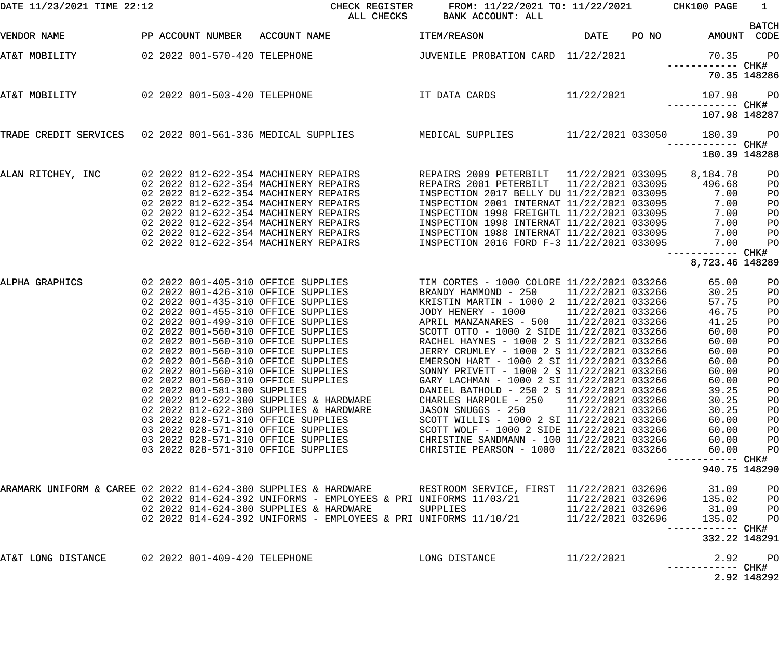| DATE 11/23/2021 TIME 22:12                                      |                                                                                                                                                                                                                                                                                                                                                                                                                                                                                                                                                                                                                                       | CHECK REGISTER<br>ALL CHECKS                                                                                                                                                             | FROM: 11/22/2021 TO: 11/22/2021 CHK100 PAGE<br>BANK ACCOUNT: ALL                                                                                                                                                                                                                                                                                                                                                                                                                                                                                                                                                                                                                                                                                                            |                                                             |                                                                                                                                                                                                 | $\mathbf{1}$<br><b>BATCH</b>                                                                                     |
|-----------------------------------------------------------------|---------------------------------------------------------------------------------------------------------------------------------------------------------------------------------------------------------------------------------------------------------------------------------------------------------------------------------------------------------------------------------------------------------------------------------------------------------------------------------------------------------------------------------------------------------------------------------------------------------------------------------------|------------------------------------------------------------------------------------------------------------------------------------------------------------------------------------------|-----------------------------------------------------------------------------------------------------------------------------------------------------------------------------------------------------------------------------------------------------------------------------------------------------------------------------------------------------------------------------------------------------------------------------------------------------------------------------------------------------------------------------------------------------------------------------------------------------------------------------------------------------------------------------------------------------------------------------------------------------------------------------|-------------------------------------------------------------|-------------------------------------------------------------------------------------------------------------------------------------------------------------------------------------------------|------------------------------------------------------------------------------------------------------------------|
| VENDOR NAME                                                     |                                                                                                                                                                                                                                                                                                                                                                                                                                                                                                                                                                                                                                       | PP ACCOUNT NUMBER ACCOUNT NAME                                                                                                                                                           | <b>ITEM/REASON</b>                                                                                                                                                                                                                                                                                                                                                                                                                                                                                                                                                                                                                                                                                                                                                          | DATE PONO                                                   |                                                                                                                                                                                                 | AMOUNT CODE                                                                                                      |
| AT&T MOBILITY                                                   |                                                                                                                                                                                                                                                                                                                                                                                                                                                                                                                                                                                                                                       |                                                                                                                                                                                          |                                                                                                                                                                                                                                                                                                                                                                                                                                                                                                                                                                                                                                                                                                                                                                             |                                                             | 70.35<br>------------ CHK#                                                                                                                                                                      | $P$ O                                                                                                            |
|                                                                 |                                                                                                                                                                                                                                                                                                                                                                                                                                                                                                                                                                                                                                       |                                                                                                                                                                                          |                                                                                                                                                                                                                                                                                                                                                                                                                                                                                                                                                                                                                                                                                                                                                                             |                                                             |                                                                                                                                                                                                 | 70.35 148286                                                                                                     |
| AT&T MOBILITY                                                   | 02 2022 001-503-420 TELEPHONE                                                                                                                                                                                                                                                                                                                                                                                                                                                                                                                                                                                                         |                                                                                                                                                                                          | IT DATA CARDS 11/22/2021                                                                                                                                                                                                                                                                                                                                                                                                                                                                                                                                                                                                                                                                                                                                                    |                                                             | 107.98<br>------------ CHK#                                                                                                                                                                     | $P$ O                                                                                                            |
|                                                                 |                                                                                                                                                                                                                                                                                                                                                                                                                                                                                                                                                                                                                                       |                                                                                                                                                                                          |                                                                                                                                                                                                                                                                                                                                                                                                                                                                                                                                                                                                                                                                                                                                                                             |                                                             | 107.98 148287                                                                                                                                                                                   |                                                                                                                  |
|                                                                 |                                                                                                                                                                                                                                                                                                                                                                                                                                                                                                                                                                                                                                       | TRADE CREDIT SERVICES 02 2022 001-561-336 MEDICAL SUPPLIES MEDICAL SUPPLIES 11/22/2021 033050                                                                                            |                                                                                                                                                                                                                                                                                                                                                                                                                                                                                                                                                                                                                                                                                                                                                                             |                                                             | 180.39<br>------------ CHK#                                                                                                                                                                     | $P$ O                                                                                                            |
|                                                                 |                                                                                                                                                                                                                                                                                                                                                                                                                                                                                                                                                                                                                                       |                                                                                                                                                                                          |                                                                                                                                                                                                                                                                                                                                                                                                                                                                                                                                                                                                                                                                                                                                                                             |                                                             | 180.39 148288                                                                                                                                                                                   |                                                                                                                  |
| ALAN RITCHEY, INC                                               | 02 2022 012-622-354 MACHINERY REPAIRS<br>02 2022 012-622-354 MACHINERY REPAIRS<br>02 2022 012-622-354 MACHINERY REPAIRS<br>02 2022 012-622-354 MACHINERY REPAIRS<br>02 2022 012-622-354 MACHINERY REPAIRS<br>02 2022 012-622-354 MACHINERY REPAIRS<br>02 2022 012-622-354 MACHINERY REPAIRS                                                                                                                                                                                                                                                                                                                                           | 02 2022 012-622-354 MACHINERY REPAIRS                                                                                                                                                    | REPAIRS 2009 PETERBILT 11/22/2021 033095<br>REPAIRS 2001 PETERBILT<br>INSPECTION 2017 BELLY DU 11/22/2021 033095<br>INSPECTION 2001 INTERNAT 11/22/2021 033095<br>INSPECTION 1998 FREIGHTL 11/22/2021 033095<br>INSPECTION 1998 INTERNAT 11/22/2021 033095<br>INSPECTION 1988 INTERNAT 11/22/2021 033095<br>INSPECTION 2016 FORD F-3 11/22/2021 033095                                                                                                                                                                                                                                                                                                                                                                                                                      | 11/22/2021 033095                                           | 8,184.78<br>496.68<br>7.00<br>7.00<br>7.00<br>7.00<br>7.00<br>7.00                                                                                                                              | PO<br>PO<br>PO<br>PO<br>PO<br>PO<br>PO<br>PO                                                                     |
|                                                                 |                                                                                                                                                                                                                                                                                                                                                                                                                                                                                                                                                                                                                                       |                                                                                                                                                                                          |                                                                                                                                                                                                                                                                                                                                                                                                                                                                                                                                                                                                                                                                                                                                                                             |                                                             | ------------<br>8,723.46 148289                                                                                                                                                                 | CHK#                                                                                                             |
| ALPHA GRAPHICS                                                  | 02 2022 001-405-310 OFFICE SUPPLIES<br>02 2022 001-426-310 OFFICE SUPPLIES<br>02 2022 001-435-310 OFFICE SUPPLIES<br>02 2022 001-455-310 OFFICE SUPPLIES<br>02 2022 001-499-310 OFFICE SUPPLIES<br>02 2022 001-560-310 OFFICE SUPPLIES<br>02 2022 001-560-310 OFFICE SUPPLIES<br>02 2022 001-560-310 OFFICE SUPPLIES<br>02 2022 001-560-310 OFFICE SUPPLIES<br>02 2022 001-560-310 OFFICE SUPPLIES<br>02 2022 001-560-310 OFFICE SUPPLIES<br>02 2022 001-581-300 SUPPLIES<br>03 2022 028-571-310 OFFICE SUPPLIES<br>03 2022 028-571-310 OFFICE SUPPLIES<br>03 2022 028-571-310 OFFICE SUPPLIES<br>03 2022 028-571-310 OFFICE SUPPLIES | 02 2022 012-622-300 SUPPLIES & HARDWARE<br>02 2022 012-622-300 SUPPLIES & HARDWARE                                                                                                       | TIM CORTES - 1000 COLORE 11/22/2021 033266<br>BRANDY HAMMOND - 250 11/22/2021 033266<br>KRISTIN MARTIN - 1000 2 11/22/2021 033266<br>JODY HENERY - 1000<br>APRIL MANZANARES - 500 11/22/2021 033266<br>SCOTT OTTO - 1000 2 SIDE 11/22/2021 033266<br>RACHEL HAYNES - 1000 2 S 11/22/2021 033266<br>JERRY CRUMLEY - 1000 2 S 11/22/2021 033266<br>EMERSON HART - 1000 2 SI 11/22/2021 033266<br>SONNY PRIVETT - 1000 2 S 11/22/2021 033266<br>GARY LACHMAN - 1000 2 SI 11/22/2021 033266<br>DANIEL BATHOLD - 250 2 S 11/22/2021 033266<br>CHARLES HARPOLE - 250<br>JASON SNUGGS - 250<br>SCOTT WILLIS - 1000 2 SI 11/22/2021 033266<br>SCOTT WOLF - 1000 2 SIDE 11/22/2021 033266<br>CHRISTINE SANDMANN - 100 11/22/2021 033266<br>CHRISTIE PEARSON - 1000 11/22/2021 033266 | 11/22/2021 033266<br>11/22/2021 033266<br>11/22/2021 033266 | 65.00<br>30.25<br>57.75<br>46.75<br>41.25<br>60.00<br>60.00<br>60.00<br>60.00<br>60.00<br>60.00<br>39.25<br>30.25<br>30.25<br>60.00<br>60.00<br>60.00<br>60.00<br>------------<br>940.75 148290 | PO<br>PO<br>PO<br>PO<br>PO<br>PO<br>PO<br>PO<br>PO<br>PO<br>PO<br>PO<br>PO<br>PO<br>PO<br>PO<br>PO<br>PO<br>CHK# |
| ARAMARK UNIFORM & CAREE 02 2022 014-624-300 SUPPLIES & HARDWARE |                                                                                                                                                                                                                                                                                                                                                                                                                                                                                                                                                                                                                                       | 02  2022  014-624-392  UNIFORMS - EMPLOYEES & PRI UNIFORMS  11/03/21<br>02 2022 014-624-300 SUPPLIES & HARDWARE<br>02  2022  014-624-392  UNIFORMS - EMPLOYEES & PRI  UNIFORMS  11/10/21 | RESTROOM SERVICE, FIRST 11/22/2021 032696<br>SUPPLIES                                                                                                                                                                                                                                                                                                                                                                                                                                                                                                                                                                                                                                                                                                                       | 11/22/2021 032696<br>11/22/2021 032696<br>11/22/2021 032696 | 31.09<br>135.02<br>31.09<br>135.02<br>------------<br>332.22 148291                                                                                                                             | PO<br>PO<br>PO<br>PO<br>CHK#                                                                                     |
| AT&T LONG DISTANCE                                              | 02 2022 001-409-420 TELEPHONE                                                                                                                                                                                                                                                                                                                                                                                                                                                                                                                                                                                                         |                                                                                                                                                                                          | LONG DISTANCE                                                                                                                                                                                                                                                                                                                                                                                                                                                                                                                                                                                                                                                                                                                                                               | 11/22/2021                                                  | 2.92<br>------------                                                                                                                                                                            | P <sub>O</sub><br>CHK#<br>2.92 148292                                                                            |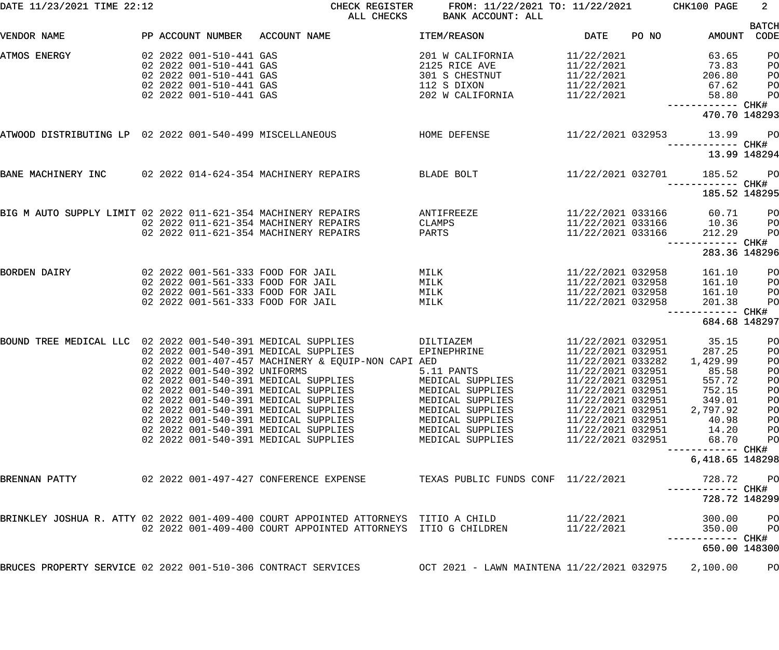| DATE 11/23/2021 TIME 22:12                                    |  |                                                                                                                                     | CHECK REGISTER<br>ALL CHECKS                                                                                                                                                                                                                                                                                                                                                                                       | FROM: 11/22/2021 TO: 11/22/2021<br>BANK ACCOUNT: ALL                                                                                                                               |                                                                                                                                                                                                                                     |       | CHK100 PAGE                                                                                               | $\overline{2}$                                                 |
|---------------------------------------------------------------|--|-------------------------------------------------------------------------------------------------------------------------------------|--------------------------------------------------------------------------------------------------------------------------------------------------------------------------------------------------------------------------------------------------------------------------------------------------------------------------------------------------------------------------------------------------------------------|------------------------------------------------------------------------------------------------------------------------------------------------------------------------------------|-------------------------------------------------------------------------------------------------------------------------------------------------------------------------------------------------------------------------------------|-------|-----------------------------------------------------------------------------------------------------------|----------------------------------------------------------------|
| VENDOR NAME                                                   |  | PP ACCOUNT NUMBER                                                                                                                   | ACCOUNT NAME                                                                                                                                                                                                                                                                                                                                                                                                       | <b>ITEM/REASON</b>                                                                                                                                                                 | DATE                                                                                                                                                                                                                                | PO NO | AMOUNT                                                                                                    | <b>BATCH</b><br>CODE                                           |
| ATMOS ENERGY                                                  |  | 02 2022 001-510-441 GAS<br>02 2022 001-510-441 GAS<br>02 2022 001-510-441 GAS<br>02 2022 001-510-441 GAS<br>02 2022 001-510-441 GAS |                                                                                                                                                                                                                                                                                                                                                                                                                    | 201 W CALIFORNIA<br>2125 RICE AVE<br>301 S CHESTNUT<br>112 S DIXON<br>202 W CALIFORNIA                                                                                             | 11/22/2021<br>11/22/2021<br>11/22/2021<br>11/22/2021<br>11/22/2021                                                                                                                                                                  |       | 63.65<br>73.83<br>206.80<br>67.62<br>58.80<br>----------- CHK#<br>470.70 148293                           | PO<br>PO<br>PO<br>PO<br>PO                                     |
| ATWOOD DISTRIBUTING LP 02 2022 001-540-499 MISCELLANEOUS      |  |                                                                                                                                     |                                                                                                                                                                                                                                                                                                                                                                                                                    | HOME DEFENSE                                                                                                                                                                       |                                                                                                                                                                                                                                     |       | 11/22/2021 032953 13.99                                                                                   | <b>PO</b><br>13.99 148294                                      |
| BANE MACHINERY INC 02 2022 014-624-354 MACHINERY REPAIRS      |  |                                                                                                                                     |                                                                                                                                                                                                                                                                                                                                                                                                                    | BLADE BOLT                                                                                                                                                                         | 11/22/2021 032701                                                                                                                                                                                                                   |       | 185.52<br>------------ CHK#                                                                               | <b>PO</b>                                                      |
| BIG M AUTO SUPPLY LIMIT 02 2022 011-621-354 MACHINERY REPAIRS |  |                                                                                                                                     | 02 2022 011-621-354 MACHINERY REPAIRS                                                                                                                                                                                                                                                                                                                                                                              | ANTIFREEZE<br>CLAMPS                                                                                                                                                               | 11/22/2021 033166<br>11/22/2021 033166                                                                                                                                                                                              |       | 185.52 148295<br>60.71<br>10.36                                                                           | PO<br>PO                                                       |
|                                                               |  |                                                                                                                                     | 02 2022 011-621-354 MACHINERY REPAIRS                                                                                                                                                                                                                                                                                                                                                                              | PARTS                                                                                                                                                                              | 11/22/2021 033166                                                                                                                                                                                                                   |       | 212.29<br>------------ CHK#<br>283.36 148296                                                              | PO                                                             |
| BORDEN DAIRY                                                  |  |                                                                                                                                     | 02 2022 001-561-333 FOOD FOR JAIL<br>02 2022 001-561-333 FOOD FOR JAIL<br>02 2022 001-561-333 FOOD FOR JAIL<br>02 2022 001-561-333 FOOD FOR JAIL                                                                                                                                                                                                                                                                   | MILK<br>MILK<br>MILK<br>MILK                                                                                                                                                       | 11/22/2021 032958<br>11/22/2021 032958<br>11/22/2021 032958<br>11/22/2021 032958                                                                                                                                                    |       | 161.10<br>161.10<br>161.10<br>201.38<br>------ CHK#                                                       | PO<br>PO<br>PO<br>PO                                           |
|                                                               |  |                                                                                                                                     |                                                                                                                                                                                                                                                                                                                                                                                                                    |                                                                                                                                                                                    |                                                                                                                                                                                                                                     |       | 684.68 148297                                                                                             |                                                                |
| BOUND TREE MEDICAL LLC 02 2022 001-540-391 MEDICAL SUPPLIES   |  |                                                                                                                                     | 02 2022 001-540-391 MEDICAL SUPPLIES<br>02 2022 001-407-457 MACHINERY & EQUIP-NON CAPI AED<br>02 2022 001-540-392 UNIFORMS<br>02 2022 001-540-391 MEDICAL SUPPLIES<br>02 2022 001-540-391 MEDICAL SUPPLIES<br>02 2022 001-540-391 MEDICAL SUPPLIES<br>02 2022 001-540-391 MEDICAL SUPPLIES<br>02 2022 001-540-391 MEDICAL SUPPLIES<br>02 2022 001-540-391 MEDICAL SUPPLIES<br>02 2022 001-540-391 MEDICAL SUPPLIES | DILTIAZEM<br>EPINEPHRINE<br>5.11 PANTS<br>MEDICAL SUPPLIES<br>MEDICAL SUPPLIES<br>MEDICAL SUPPLIES<br>MEDICAL SUPPLIES<br>MEDICAL SUPPLIES<br>MEDICAL SUPPLIES<br>MEDICAL SUPPLIES | 11/22/2021 032951<br>11/22/2021 032951<br>11/22/2021 033282<br>11/22/2021 032951<br>11/22/2021 032951<br>11/22/2021 032951<br>11/22/2021 032951<br>11/22/2021 032951<br>11/22/2021 032951<br>11/22/2021 032951<br>11/22/2021 032951 |       | 35.15<br>287.25<br>1,429.99<br>85.58<br>557.72<br>752.15<br>349.01<br>2,797.92<br>40.98<br>14.20<br>68.70 | PO<br>PO<br>PO<br>PO<br>PO<br>PO<br>PO<br>PO<br>PO<br>PO<br>PO |
|                                                               |  |                                                                                                                                     |                                                                                                                                                                                                                                                                                                                                                                                                                    |                                                                                                                                                                                    |                                                                                                                                                                                                                                     |       | ------------ CHK#<br>6,418.65 148298                                                                      |                                                                |
| BRENNAN PATTY                                                 |  |                                                                                                                                     | 02 2022 001-497-427 CONFERENCE EXPENSE                                                                                                                                                                                                                                                                                                                                                                             | TEXAS PUBLIC FUNDS CONF 11/22/2021                                                                                                                                                 |                                                                                                                                                                                                                                     |       | 728.72<br>728.72 148299                                                                                   | PO                                                             |
|                                                               |  |                                                                                                                                     | BRINKLEY JOSHUA R. ATTY 02 2022 001-409-400 COURT APPOINTED ATTORNEYS  TITIO A CHILD<br>02 2022 001-409-400 COURT APPOINTED ATTORNEYS                                                                                                                                                                                                                                                                              | ITIO G CHILDREN                                                                                                                                                                    | 11/22/2021<br>11/22/2021                                                                                                                                                                                                            |       | 300.00<br>350.00                                                                                          | PO<br>PO                                                       |
|                                                               |  |                                                                                                                                     |                                                                                                                                                                                                                                                                                                                                                                                                                    |                                                                                                                                                                                    |                                                                                                                                                                                                                                     |       | 650.00 148300                                                                                             |                                                                |
| BRUCES PROPERTY SERVICE 02 2022 001-510-306 CONTRACT SERVICES |  |                                                                                                                                     |                                                                                                                                                                                                                                                                                                                                                                                                                    | OCT 2021 - LAWN MAINTENA 11/22/2021 032975                                                                                                                                         |                                                                                                                                                                                                                                     |       | 2,100.00                                                                                                  | PO                                                             |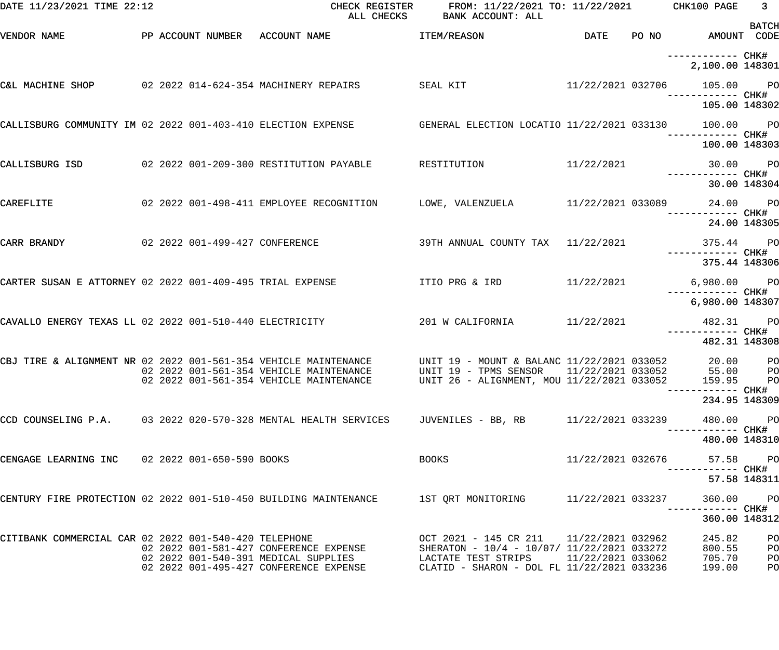| DATE 11/23/2021 TIME 22:12                                                                                 |  | ALL CHECKS                                                                                              | CHECK REGISTER FROM: 11/22/2021 TO: 11/22/2021 CHK100 PAGE<br>BANK ACCOUNT: ALL                |                   |                                                       | $\overline{\phantom{a}}$ 3<br><b>BATCH</b> |
|------------------------------------------------------------------------------------------------------------|--|---------------------------------------------------------------------------------------------------------|------------------------------------------------------------------------------------------------|-------------------|-------------------------------------------------------|--------------------------------------------|
| VENDOR NAME                                                                                                |  | PP ACCOUNT NUMBER ACCOUNT NAME TEM/REASON                                                               |                                                                                                | <b>DATE</b>       | PO NO AMOUNT CODE                                     |                                            |
|                                                                                                            |  |                                                                                                         |                                                                                                |                   | -----------         CHK#<br>2,100.00 148301           |                                            |
| C&L MACHINE SHOP 02 2022 014-624-354 MACHINERY REPAIRS                                                     |  |                                                                                                         | SEAL KIT                                                                                       |                   | 11/22/2021 032706 105.00 PO<br>CHK# ------------ CHK# |                                            |
|                                                                                                            |  |                                                                                                         |                                                                                                |                   | 105.00 148302                                         |                                            |
|                                                                                                            |  | CALLISBURG COMMUNITY IM 02 2022 001-403-410 ELECTION EXPENSE GENERAL ELECTION LOCATIO 11/22/2021 033130 |                                                                                                |                   | 100.00 PO                                             |                                            |
|                                                                                                            |  |                                                                                                         |                                                                                                |                   | 100.00 148303                                         |                                            |
|                                                                                                            |  | CALLISBURG ISD 62 2022 001-209-300 RESTITUTION PAYABLE RESTITUTION                                      |                                                                                                | 11/22/2021        |                                                       | 30.00 PO                                   |
|                                                                                                            |  |                                                                                                         |                                                                                                |                   |                                                       | 30.00 148304                               |
| CAREFLITE                                                                                                  |  | 02 2022 001-498-411 EMPLOYEE RECOGNITION                                                                | LOWE, VALENZUELA $11/22/2021$ 033089 $24.00$ PO                                                |                   |                                                       |                                            |
|                                                                                                            |  |                                                                                                         |                                                                                                |                   |                                                       | 24.00 148305                               |
| CARR BRANDY                                                                                                |  | 02 2022 001-499-427 CONFERENCE                                                                          | 39TH ANNUAL COUNTY TAX 11/22/2021                                                              |                   | 375.44 PO                                             |                                            |
|                                                                                                            |  |                                                                                                         |                                                                                                |                   | 375.44 148306                                         |                                            |
| CARTER SUSAN E ATTORNEY 02 2022 001-409-495 TRIAL EXPENSE                                                  |  |                                                                                                         | ITIO PRG & IRD 11/22/2021                                                                      |                   | 6,980.00 PO<br>------------ CHK#                      |                                            |
|                                                                                                            |  |                                                                                                         |                                                                                                |                   | 6,980.00 148307                                       |                                            |
| CAVALLO ENERGY TEXAS LL 02 2022 001-510-440 ELECTRICITY                                                    |  |                                                                                                         | 201 W CALIFORNIA 11/22/2021                                                                    |                   | 482.31 PO<br>----------- CHK#                         |                                            |
|                                                                                                            |  |                                                                                                         |                                                                                                |                   | 482.31 148308                                         |                                            |
| CBJ TIRE & ALIGNMENT NR 02 2022 001-561-354 VEHICLE MAINTENANCE<br>02 2022 001-561-354 VEHICLE MAINTENANCE |  |                                                                                                         | UNIT 19 - MOUNT & BALANC 11/22/2021 033052<br>UNIT 19 - TPMS SENSOR 11/22/2021 033052 55.00 PO |                   |                                                       | 20.00 PO                                   |
|                                                                                                            |  | 02 2022 001-561-354 VEHICLE MAINTENANCE                                                                 | UNIT 26 - ALIGNMENT, MOU 11/22/2021 033052                                                     |                   | 159.95                                                | <b>PO</b>                                  |
|                                                                                                            |  |                                                                                                         |                                                                                                |                   | 234.95 148309                                         |                                            |
|                                                                                                            |  | CCD COUNSELING P.A. 03 2022 020-570-328 MENTAL HEALTH SERVICES                                          | JUVENILES - BB, RB 11/22/2021 033239                                                           |                   | 480.00<br>------------ CHK#                           | <b>PO</b>                                  |
|                                                                                                            |  |                                                                                                         |                                                                                                |                   | 480.00 148310                                         |                                            |
| CENGAGE LEARNING INC 02 2022 001-650-590 BOOKS                                                             |  |                                                                                                         | <b>BOOKS</b>                                                                                   | 11/22/2021 032676 | 57.58                                                 | <b>PO</b>                                  |
|                                                                                                            |  |                                                                                                         |                                                                                                |                   |                                                       | 57.58 148311                               |
| CENTURY FIRE PROTECTION 02 2022 001-510-450 BUILDING MAINTENANCE                                           |  |                                                                                                         | 1ST QRT MONITORING                                                                             | 11/22/2021 033237 | 360.00                                                | <b>PO</b>                                  |
|                                                                                                            |  |                                                                                                         |                                                                                                |                   | 360.00 148312                                         |                                            |
| CITIBANK COMMERCIAL CAR 02 2022 001-540-420 TELEPHONE                                                      |  | 02 2022 001-581-427 CONFERENCE EXPENSE                                                                  | OCT 2021 - 145 CR 211 11/22/2021 032962<br>SHERATON - 10/4 - 10/07/ 11/22/2021 033272          |                   | 245.82<br>800.55                                      | PO<br>PO                                   |
|                                                                                                            |  | 02  2022  001-540-391  MEDICAL SUPPLIES<br>02 2022 001-495-427 CONFERENCE EXPENSE                       | LACTATE TEST STRIPS 11/22/2021 033062<br>CLATID - SHARON - DOL FL 11/22/2021 033236            |                   | 705.70<br>199.00                                      | PO<br>PO                                   |
|                                                                                                            |  |                                                                                                         |                                                                                                |                   |                                                       |                                            |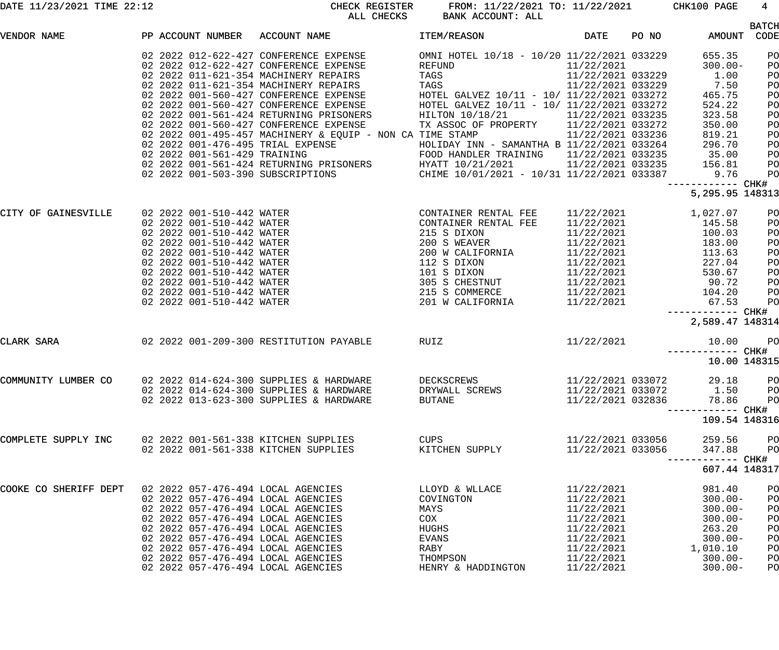| DATE 11/23/2021 TIME 22:12 |  |  |
|----------------------------|--|--|
|                            |  |  |

DATE 11/23/2021 TIME 22:12 CHECK REGISTER FROM: 11/22/2021 TO: 11/22/2021 CHK100 PAGE 4 ALL CHECKS BANK ACCOUNT: ALL

|                       |                   |                                                                                                                                                                                                                                               |                                            |                                                                                  |       |                                                         | <b>BATCH</b>    |
|-----------------------|-------------------|-----------------------------------------------------------------------------------------------------------------------------------------------------------------------------------------------------------------------------------------------|--------------------------------------------|----------------------------------------------------------------------------------|-------|---------------------------------------------------------|-----------------|
| VENDOR NAME           | PP ACCOUNT NUMBER | ACCOUNT NAME                                                                                                                                                                                                                                  | <b>ITEM/REASON</b>                         | <b>DATE</b>                                                                      | PO NO | AMOUNT CODE                                             |                 |
|                       |                   | 02 2022 012-622-427 CONFERENCE EXPENSE                                                                                                                                                                                                        | OMNI HOTEL 10/18 - 10/20 11/22/2021 033229 |                                                                                  |       | 655.35                                                  | PO              |
|                       |                   | 02 2022 012-622-427 CONFERENCE EXPENSE                                                                                                                                                                                                        | REFUND                                     | 11/22/2021                                                                       |       | $300.00 -$                                              | PO              |
|                       |                   | 02 2022 011-621-354 MACHINERY REPAIRS                                                                                                                                                                                                         | TAGS                                       | 11/22/2021 033229                                                                |       | 1.00                                                    | PO              |
|                       |                   | 02 2022 011 021 334 MACHINERI REPAIRS<br>02 2022 001-560-427 CONFERENCE EXPENSE<br>02 2022 001-560-427 CONFERENCE EXPENSE<br>02 2022 001-561-424 RETURNING PRISONERS<br>02 2022 001-561-424 RETURNING PRISONERS<br>02 2022 001-560-427 CONFER | TAGS                                       | 11/22/2021 033229                                                                |       | 7.50                                                    | PO              |
|                       |                   |                                                                                                                                                                                                                                               | HOTEL GALVEZ 10/11 - 10/ 11/22/2021 033272 |                                                                                  |       | 465.75                                                  | PO              |
|                       |                   |                                                                                                                                                                                                                                               | HOTEL GALVEZ 10/11 - 10/ 11/22/2021 033272 |                                                                                  |       | 524.22                                                  | PO              |
|                       |                   |                                                                                                                                                                                                                                               | HILTON 10/18/21 11/22/2021 033235          |                                                                                  |       | 323.58                                                  | PO              |
|                       |                   |                                                                                                                                                                                                                                               | TX ASSOC OF PROPERTY 11/22/2021 033272     |                                                                                  |       | 350.00                                                  | PO              |
|                       |                   | 02 2022 001-495-457 MACHINERY & EQUIP - NON CA TIME STAMP                                                                                                                                                                                     |                                            | 11/22/2021 033236                                                                |       | 819.21                                                  | PO              |
|                       |                   |                                                                                                                                                                                                                                               |                                            |                                                                                  |       |                                                         | PO              |
|                       |                   |                                                                                                                                                                                                                                               |                                            |                                                                                  |       |                                                         | PO<br>PO        |
|                       |                   |                                                                                                                                                                                                                                               |                                            |                                                                                  |       |                                                         | PO              |
|                       |                   | 02 2022 001-476-495 TRIAL EXPENSE<br>02 2022 001-561-429 TRAINING PRISONERS<br>02 2022 001-561-424 RETURNING PRISONERS<br>02 2022 001-503-390 SUBSCRIPTIONS<br>02 2022 001-503-390 SUBSCRIPTIONS<br>02 2022 001-503-390 SUBSCRIPTIONS<br>2    |                                            |                                                                                  |       | ----------- CHK#                                        |                 |
|                       |                   |                                                                                                                                                                                                                                               |                                            |                                                                                  |       | 5, 295.95 148313                                        |                 |
|                       |                   |                                                                                                                                                                                                                                               |                                            |                                                                                  |       |                                                         |                 |
| CITY OF GAINESVILLE   |                   |                                                                                                                                                                                                                                               |                                            | 11/22/2021<br>11/22/2021<br>11/22/2021<br>11/22/2021<br>11/22/2021<br>11/22/2021 |       | 1,027.07                                                | PO              |
|                       |                   |                                                                                                                                                                                                                                               |                                            |                                                                                  |       | 145.58                                                  | PO              |
|                       |                   |                                                                                                                                                                                                                                               |                                            |                                                                                  |       | 100.03                                                  | PO              |
|                       |                   |                                                                                                                                                                                                                                               |                                            |                                                                                  |       | 100.03<br>183.00<br>113.63<br>227.04<br>530.67<br>90.72 | PO              |
|                       |                   |                                                                                                                                                                                                                                               |                                            |                                                                                  |       |                                                         | PO              |
|                       |                   |                                                                                                                                                                                                                                               |                                            |                                                                                  |       |                                                         | PO              |
|                       |                   |                                                                                                                                                                                                                                               |                                            | 11/22/2021                                                                       |       |                                                         | PO              |
|                       |                   |                                                                                                                                                                                                                                               |                                            | 11/22/2021<br>11/22/2021                                                         |       | 104.20                                                  | PO<br>PO        |
|                       |                   |                                                                                                                                                                                                                                               |                                            | 11/22/2021                                                                       |       | 67.53                                                   | PO              |
|                       |                   |                                                                                                                                                                                                                                               |                                            |                                                                                  |       | ------------ CHK#                                       |                 |
|                       |                   |                                                                                                                                                                                                                                               |                                            |                                                                                  |       | 2,589.47 148314                                         |                 |
| CLARK SARA            |                   | 02  2022  001-209-300  RESTITUTION PAYABLE  RUIZ                                                                                                                                                                                              |                                            | 11/22/2021                                                                       |       | 10.00                                                   | <b>PO</b>       |
|                       |                   |                                                                                                                                                                                                                                               |                                            |                                                                                  |       | ------------ CHK#                                       |                 |
|                       |                   |                                                                                                                                                                                                                                               |                                            |                                                                                  |       | 10.00 148315                                            |                 |
|                       |                   |                                                                                                                                                                                                                                               |                                            |                                                                                  |       |                                                         |                 |
| COMMUNITY LUMBER CO   |                   | 02 2022 014-624-300 SUPPLIES & HARDWARE<br>02 2022 014-624-300 SUPPLIES & HARDWARE                                                                                                                                                            | DECKSCREWS<br>DRYWALL SCREWS               | 11/22/2021 033072                                                                |       | 29.18<br>11/22/2021 033072 1.50                         | PO<br><b>PO</b> |
|                       |                   | 02 2022 013-623-300 SUPPLIES & HARDWARE                                                                                                                                                                                                       | <b>BUTANE</b>                              | 11/22/2021 032836                                                                |       | 78.86                                                   | PO              |
|                       |                   |                                                                                                                                                                                                                                               |                                            |                                                                                  |       | ------- CHK#                                            |                 |
|                       |                   |                                                                                                                                                                                                                                               |                                            |                                                                                  |       | 109.54 148316                                           |                 |
|                       |                   |                                                                                                                                                                                                                                               |                                            |                                                                                  |       |                                                         |                 |
| COMPLETE SUPPLY INC   |                   | 02 2022 001-561-338 KITCHEN SUPPLIES                                                                                                                                                                                                          | <b>CUPS</b>                                | 11/22/2021 033056                                                                |       | 259.56                                                  | PO              |
|                       |                   | 02 2022 001-561-338 KITCHEN SUPPLIES                                                                                                                                                                                                          | KITCHEN SUPPLY                             | 11/22/2021 033056                                                                |       | 347.88<br>------- CHK#                                  | PO              |
|                       |                   |                                                                                                                                                                                                                                               |                                            |                                                                                  |       | 607.44 148317                                           |                 |
| COOKE CO SHERIFF DEPT |                   | 02 2022 057-476-494 LOCAL AGENCIES                                                                                                                                                                                                            | LLOYD & WLLACE                             | 11/22/2021                                                                       |       | 981.40                                                  | PO              |
|                       |                   | 02 2022 057-476-494 LOCAL AGENCIES                                                                                                                                                                                                            | COVINGTON                                  | 11/22/2021                                                                       |       | $300.00 -$                                              | PO              |
|                       |                   | 02 2022 057-476-494 LOCAL AGENCIES                                                                                                                                                                                                            | MAYS                                       | 11/22/2021                                                                       |       | $300.00 -$                                              | PO              |
|                       |                   | 02 2022 057-476-494 LOCAL AGENCIES                                                                                                                                                                                                            | COX                                        | 11/22/2021                                                                       |       | $300.00 -$                                              | PO              |
|                       |                   | 02 2022 057-476-494 LOCAL AGENCIES                                                                                                                                                                                                            | HUGHS                                      | 11/22/2021                                                                       |       | 263.20                                                  | PO              |
|                       |                   | 02 2022 057-476-494 LOCAL AGENCIES                                                                                                                                                                                                            | EVANS                                      | 11/22/2021                                                                       |       | $300.00 -$                                              | PO              |
|                       |                   | 02 2022 057-476-494 LOCAL AGENCIES                                                                                                                                                                                                            | RABY                                       | 11/22/2021                                                                       |       | 1,010.10                                                | PO              |
|                       |                   | 02 2022 057-476-494 LOCAL AGENCIES                                                                                                                                                                                                            | THOMPSON                                   | 11/22/2021                                                                       |       | $300.00 -$                                              | PO              |
|                       |                   | 02 2022 057-476-494 LOCAL AGENCIES                                                                                                                                                                                                            | HENRY & HADDINGTON                         | 11/22/2021                                                                       |       | $300.00 -$                                              | PO              |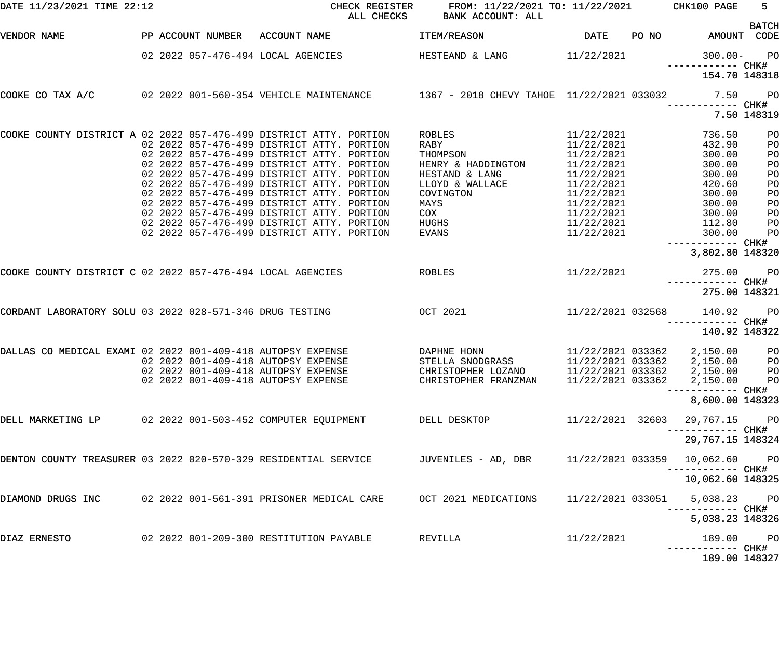| DATE 11/23/2021 TIME 22:12                                         |                   | CHECK REGISTER<br>ALL CHECKS                                                                                      | FROM: 11/22/2021 TO: 11/22/2021<br>BANK ACCOUNT: ALL |                          |       | CHK100 PAGE                               | $5 -$<br><b>BATCH</b> |
|--------------------------------------------------------------------|-------------------|-------------------------------------------------------------------------------------------------------------------|------------------------------------------------------|--------------------------|-------|-------------------------------------------|-----------------------|
| VENDOR NAME                                                        | PP ACCOUNT NUMBER | ACCOUNT NAME                                                                                                      | ITEM/REASON                                          | DATE                     | PO NO |                                           | AMOUNT CODE           |
|                                                                    |                   | 02 2022 057-476-494 LOCAL AGENCIES                                                                                | HESTEAND & LANG                                      | 11/22/2021               |       | $300.00 -$<br>------------ CHK#           | <b>PO</b>             |
|                                                                    |                   |                                                                                                                   |                                                      |                          |       | 154.70 148318                             |                       |
| COOKE CO TAX A/C                                                   |                   | 02 2022 001-560-354 VEHICLE MAINTENANCE 1367 - 2018 CHEVY TAHOE 11/22/2021 033032                                 |                                                      |                          |       | 7.50<br>------------ CHK#                 | <b>PO</b>             |
|                                                                    |                   |                                                                                                                   |                                                      |                          |       |                                           | 7.50 148319           |
| COOKE COUNTY DISTRICT A 02 2022 057-476-499 DISTRICT ATTY. PORTION |                   |                                                                                                                   | ROBLES                                               | 11/22/2021               |       | 736.50                                    | PO                    |
|                                                                    |                   | 02 2022 057-476-499 DISTRICT ATTY. PORTION                                                                        | RABY                                                 | 11/22/2021               |       | 432.90                                    | PO                    |
|                                                                    |                   | 02 2022 057-476-499 DISTRICT ATTY. PORTION                                                                        | THOMPSON                                             | 11/22/2021               |       | 300.00                                    | PO                    |
|                                                                    |                   | 02 2022 057-476-499 DISTRICT ATTY. PORTION<br>02 2022 057-476-499 DISTRICT ATTY. PORTION                          | HENRY & HADDINGTON                                   | 11/22/2021               |       | 300.00                                    | PO                    |
|                                                                    |                   | 02 2022 057-476-499 DISTRICT ATTY. PORTION                                                                        | HESTAND & LANG<br>LLOYD & WALLACE                    | 11/22/2021<br>11/22/2021 |       | 300.00                                    | PO                    |
|                                                                    |                   | 02 2022 057-476-499 DISTRICT ATTY. PORTION                                                                        | COVINGTON                                            | 11/22/2021               |       | 420.60                                    | PO                    |
|                                                                    |                   | 02 2022 057-476-499 DISTRICT ATTY. PORTION                                                                        | MAYS                                                 | 11/22/2021               |       | 300.00<br>300.00                          | PO                    |
|                                                                    |                   | 02 2022 057-476-499 DISTRICT ATTY. PORTION                                                                        | COX                                                  | 11/22/2021               |       | 300.00                                    | PO<br>PO              |
|                                                                    |                   | 02 2022 057-476-499 DISTRICT ATTY. PORTION                                                                        | HUGHS                                                | 11/22/2021               |       | 112.80                                    | PO                    |
|                                                                    |                   | 02 2022 057-476-499 DISTRICT ATTY. PORTION                                                                        | <b>EVANS</b>                                         | 11/22/2021               |       | 300.00                                    | PO                    |
|                                                                    |                   |                                                                                                                   |                                                      |                          |       | ------------ CHK#<br>3,802.80 148320      |                       |
| COOKE COUNTY DISTRICT C 02 2022 057-476-494 LOCAL AGENCIES         |                   |                                                                                                                   | <b>ROBLES</b>                                        | 11/22/2021               |       | 275.00                                    | $P$ O                 |
|                                                                    |                   |                                                                                                                   |                                                      |                          |       | ------------ CHK#<br>275.00 148321        |                       |
| CORDANT LABORATORY SOLU 03 2022 028-571-346 DRUG TESTING           |                   | <b>OCT 2021</b>                                                                                                   |                                                      | 11/22/2021 032568        |       | 140.92                                    | $P$ O                 |
|                                                                    |                   |                                                                                                                   |                                                      |                          |       |                                           | ----- CHK#            |
|                                                                    |                   |                                                                                                                   |                                                      |                          |       | 140.92 148322                             |                       |
| DALLAS CO MEDICAL EXAMI 02 2022 001-409-418 AUTOPSY EXPENSE        |                   |                                                                                                                   | DAPHNE HONN                                          | 11/22/2021 033362        |       | 2,150.00                                  | PO                    |
|                                                                    |                   | 02 2022 001-409-418 AUTOPSY EXPENSE                                                                               | STELLA SNODGRASS                                     | 11/22/2021 033362        |       | 2,150.00                                  | PO                    |
|                                                                    |                   | 02 2022 001-409-418 AUTOPSY EXPENSE                                                                               |                                                      |                          |       |                                           |                       |
|                                                                    |                   | 02 2022 001-409-418 AUTOPSY EXPENSE                                                                               | CHRISTOPHER FRANZMAN                                 |                          |       | 11/22/2021 033362 2,150.00 PO             |                       |
|                                                                    |                   |                                                                                                                   |                                                      |                          |       | ------------ CHK#                         |                       |
|                                                                    |                   |                                                                                                                   |                                                      |                          |       | 8,600.00 148323                           |                       |
|                                                                    |                   | DELL MARKETING LP        02 2022 001-503-452 COMPUTER EQUIPMENT                DELL DESKTOP                       |                                                      | 11/22/2021 32603         |       | 29,767.15 PO<br>---------- CHK#           |                       |
|                                                                    |                   |                                                                                                                   |                                                      |                          |       | 29,767.15 148324                          |                       |
|                                                                    |                   | DENTON COUNTY TREASURER 03 2022 020-570-329 RESIDENTIAL SERVICE        JUVENILES - AD, DBR      11/22/2021 033359 |                                                      |                          |       | 10,062.60 PO                              |                       |
|                                                                    |                   |                                                                                                                   |                                                      |                          |       | --------- CHK#<br>10,062.60 148325        |                       |
|                                                                    |                   | DIAMOND DRUGS INC     02 2022 001-561-391 PRISONER MEDICAL CARE    OCT 2021 MEDICATIONS                           |                                                      | 11/22/2021 033051        |       | 5,038.23 PO                               |                       |
|                                                                    |                   |                                                                                                                   |                                                      |                          |       | ------------ CHK#<br>5,038.23 148326      |                       |
| DIAZ ERNESTO                                                       |                   |                                                                                                                   | REVILLA                                              | 11/22/2021               |       | 189.00 PO                                 |                       |
|                                                                    |                   |                                                                                                                   |                                                      |                          |       | -----------         CHK#<br>189.00 148327 |                       |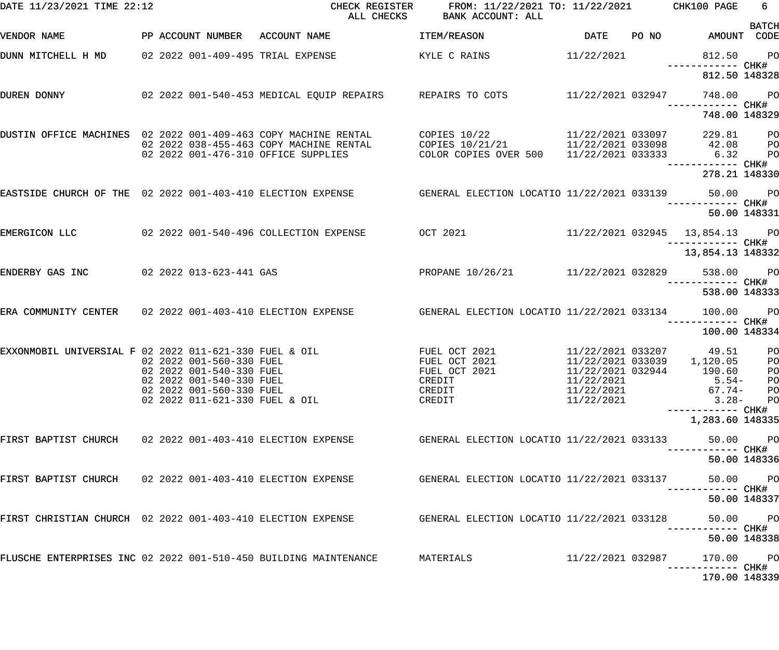| DATE 11/23/2021 TIME 22:12                                       |                                                      | CHECK REGISTER<br>ALL CHECKS                                                          | FROM: 11/22/2021 TO: 11/22/2021 CHK100 PAGE<br>BANK ACCOUNT: ALL |                                        |                                    | 6                    |
|------------------------------------------------------------------|------------------------------------------------------|---------------------------------------------------------------------------------------|------------------------------------------------------------------|----------------------------------------|------------------------------------|----------------------|
| VENDOR NAME                                                      | PP ACCOUNT NUMBER ACCOUNT NAME                       |                                                                                       | ITEM/REASON                                                      | <b>DATE</b>                            | PO NO AMOUNT CODE                  | <b>BATCH</b>         |
| DUNN MITCHELL H MD 02 2022 001-409-495 TRIAL EXPENSE             |                                                      |                                                                                       | KYLE C RAINS                                                     | 11/22/2021                             | 812.50 PO                          |                      |
|                                                                  |                                                      |                                                                                       |                                                                  |                                        | 812.50 148328                      |                      |
| DUREN DONNY                                                      |                                                      | 02 2022 001-540-453 MEDICAL EQUIP REPAIRS REPAIRS TO COTS 11/22/2021 032947 748.00 PO |                                                                  |                                        | ------------ CHK#                  |                      |
|                                                                  |                                                      |                                                                                       |                                                                  |                                        | 748.00 148329                      |                      |
| DUSTIN OFFICE MACHINES 02 2022 001-409-463 COPY MACHINE RENTAL   |                                                      | 02 2022 038-455-463 COPY MACHINE RENTAL                                               | COPIES 10/22<br>COPIES 10/21/21 11/22/2021 033098                | 11/22/2021 033097                      | 229.81<br>42.08                    | $P$ O<br>$P$ O       |
|                                                                  | 02 2022 001-476-310 OFFICE SUPPLIES                  |                                                                                       | COLOR COPIES OVER 500 11/22/2021 033333 6.32                     |                                        | ------------ CHK#                  | PO                   |
|                                                                  |                                                      |                                                                                       |                                                                  |                                        | 278.21 148330                      |                      |
| EASTSIDE CHURCH OF THE 02 2022 001-403-410 ELECTION EXPENSE      |                                                      |                                                                                       | GENERAL ELECTION LOCATIO 11/22/2021 033139 50.00 PO              |                                        | ------------ CHK#                  |                      |
|                                                                  |                                                      |                                                                                       |                                                                  |                                        | 50.00 148331                       |                      |
| EMERGICON LLC                                                    |                                                      |                                                                                       |                                                                  |                                        | 11/22/2021 032945 13,854.13 PO     |                      |
|                                                                  |                                                      |                                                                                       |                                                                  |                                        | 13,854.13 148332                   |                      |
| ENDERBY GAS INC                                                  | 02 2022 013-623-441 GAS                              |                                                                                       | PROPANE 10/26/21 11/22/2021 032829                               |                                        | 538.00 PO                          |                      |
|                                                                  |                                                      |                                                                                       |                                                                  |                                        | 538.00 148333                      |                      |
| ERA COMMUNITY CENTER 02 2022 001-403-410 ELECTION EXPENSE        |                                                      |                                                                                       | GENERAL ELECTION LOCATIO 11/22/2021 033134                       |                                        | 100.00                             | $P$ O                |
|                                                                  |                                                      |                                                                                       |                                                                  |                                        | 100.00 148334                      |                      |
| EXXONMOBIL UNIVERSIAL F 02 2022 011-621-330 FUEL & OIL           | 02 2022 001-560-330 FUEL                             |                                                                                       | FUEL OCT 2021<br>FUEL OCT 2021                                   | 11/22/2021 033207<br>11/22/2021 033039 | 49.51<br>1,120.05                  | PO<br>P <sub>O</sub> |
|                                                                  | 02 2022 001-540-330 FUEL                             |                                                                                       | FUEL OCT 2021                                                    | 11/22/2021 032944                      | 190.60                             | <b>PO</b>            |
|                                                                  | 02 2022 001-540-330 FUEL<br>02 2022 001-560-330 FUEL |                                                                                       | CREDIT<br>CREDIT                                                 | 11/22/2021<br>11/22/2021               | $5.54-$<br>67.74-                  | PO<br>P <sub>O</sub> |
|                                                                  | 02 2022 011-621-330 FUEL & OIL                       |                                                                                       | CREDIT                                                           | 11/22/2021                             | $3.28-$                            | P <sub>O</sub>       |
|                                                                  |                                                      |                                                                                       |                                                                  |                                        | —————————— CHK#<br>1,283.60 148335 |                      |
|                                                                  |                                                      |                                                                                       | GENERAL ELECTION LOCATIO 11/22/2021 033133                       |                                        | 50.00                              | P <sub>O</sub>       |
|                                                                  |                                                      |                                                                                       |                                                                  |                                        | 50.00 148336                       |                      |
| FIRST BAPTIST CHURCH 02 2022 001-403-410 ELECTION EXPENSE        |                                                      |                                                                                       | GENERAL ELECTION LOCATIO 11/22/2021 033137                       |                                        | 50.00                              | $P$ O                |
|                                                                  |                                                      |                                                                                       |                                                                  |                                        | 50.00 148337                       |                      |
| FIRST CHRISTIAN CHURCH 02 2022 001-403-410 ELECTION EXPENSE      |                                                      |                                                                                       | GENERAL ELECTION LOCATIO 11/22/2021 033128                       |                                        | 50.00                              | $P$ O                |
|                                                                  |                                                      |                                                                                       |                                                                  |                                        | 50.00 148338                       |                      |
| FLUSCHE ENTERPRISES INC 02 2022 001-510-450 BUILDING MAINTENANCE |                                                      |                                                                                       | MATERIALS                                                        | 11/22/2021 032987                      | 170.00                             | $P$ O                |
|                                                                  |                                                      |                                                                                       |                                                                  |                                        | 170.00 148339                      |                      |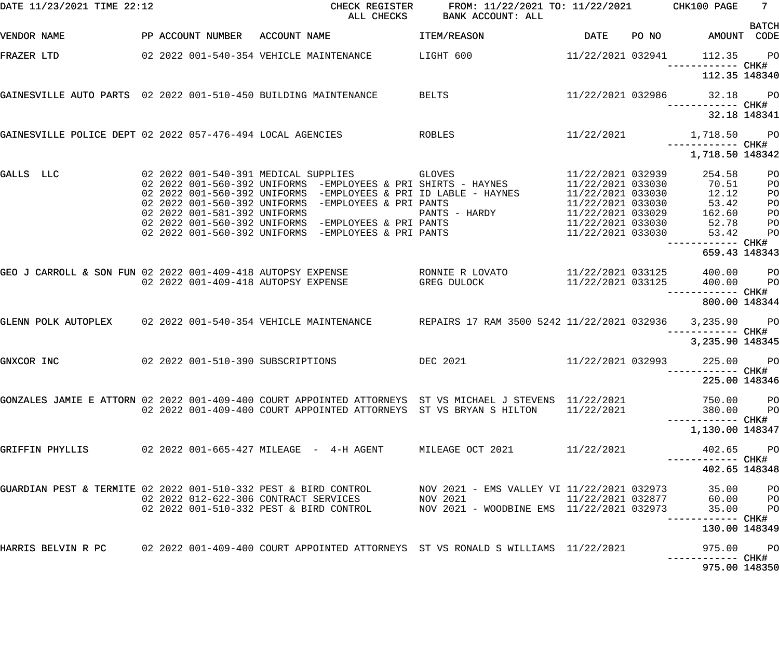| DATE 11/23/2021 TIME 22:12                                      |                                     | CHECK REGISTER<br>ALL CHECKS |                                                                                                                                                           | FROM: 11/22/2021 TO: 11/22/2021 CHK100 PAGE<br>BANK ACCOUNT: ALL                                                                                                                                                                                                                                                                                                           |                        |                                                                 | 7 <sub>1</sub>                         |
|-----------------------------------------------------------------|-------------------------------------|------------------------------|-----------------------------------------------------------------------------------------------------------------------------------------------------------|----------------------------------------------------------------------------------------------------------------------------------------------------------------------------------------------------------------------------------------------------------------------------------------------------------------------------------------------------------------------------|------------------------|-----------------------------------------------------------------|----------------------------------------|
| VENDOR NAME                                                     | PP ACCOUNT NUMBER ACCOUNT NAME      |                              |                                                                                                                                                           | <b>ITEM/REASON</b>                                                                                                                                                                                                                                                                                                                                                         | <b>Example 19 DATE</b> | PO NO AMOUNT CODE                                               | <b>BATCH</b>                           |
| FRAZER LTD                                                      |                                     |                              |                                                                                                                                                           | 02 2022 001-540-354 VEHICLE MAINTENANCE LIGHT 600 11/22/2021 032941 112.35                                                                                                                                                                                                                                                                                                 |                        | ------------ CHK#                                               | <b>PO</b>                              |
|                                                                 |                                     |                              |                                                                                                                                                           |                                                                                                                                                                                                                                                                                                                                                                            |                        | 112.35 148340                                                   |                                        |
| GAINESVILLE AUTO PARTS 02 2022 001-510-450 BUILDING MAINTENANCE |                                     |                              |                                                                                                                                                           | <b>BELTS</b>                                                                                                                                                                                                                                                                                                                                                               |                        | 11/22/2021 032986 32.18<br>------------ CHK#                    | <b>PO</b>                              |
|                                                                 |                                     |                              |                                                                                                                                                           |                                                                                                                                                                                                                                                                                                                                                                            |                        | 32.18 148341                                                    |                                        |
|                                                                 |                                     |                              |                                                                                                                                                           | GAINESVILLE POLICE DEPT 02 2022 057-476-494 LOCAL AGENCIES         ROBLES             11/22/2021       1,718.50 PO                                                                                                                                                                                                                                                         |                        | ------------ CHK#                                               |                                        |
|                                                                 |                                     |                              |                                                                                                                                                           |                                                                                                                                                                                                                                                                                                                                                                            |                        | 1,718.50 148342                                                 |                                        |
| GALLS LLC                                                       | 02 2022 001-581-392 UNIFORMS        |                              | 02 2022 001-540-391 MEDICAL SUPPLIES GLOVES<br>02 2022 001-560-392 UNIFORMS -EMPLOYEES & PRI PANTS<br>02 2022 001-560-392 UNIFORMS -EMPLOYEES & PRI PANTS | 11/22/2021 032939<br>02 2022 001-560-392 UNIFORMS -EMPLOYEES & PRI SHIRTS - HAYNES<br>02 2022 001-560-392 UNIFORMS -EMPLOYEES & PRI ID LABLE - HAYNES 11/22/2021 033030<br>02 2022 001-560-392 UNIFORMS -EMPLOYEES & PRI PANTS                          11/22/2021 033030<br>02 2022 001-560-392 UNIFORMS -EMPLOYEES & PRI PANTS                         11/22/2021 033030 | 11/22/2021 033030      | 254.58<br>70.51<br>12.12<br>52.78<br>53.42<br>------------ CHK# | PO<br>PO<br>PO<br>PO<br>PO<br>PO<br>PO |
|                                                                 |                                     |                              |                                                                                                                                                           |                                                                                                                                                                                                                                                                                                                                                                            |                        | 659.43 148343                                                   |                                        |
|                                                                 | 02 2022 001-409-418 AUTOPSY EXPENSE |                              |                                                                                                                                                           | GEO J CARROLL & SON FUN 02 2022 001-409-418 AUTOPSY EXPENSE XPENSE RONNIE R LOVATO 11/22/2021 033125<br>GREG DULOCK                                                                                                                                                                                                                                                        | 11/22/2021 033125      | 400.00 PO<br>400.00<br>------------ CHK#                        | P <sub>O</sub>                         |
|                                                                 |                                     |                              |                                                                                                                                                           |                                                                                                                                                                                                                                                                                                                                                                            |                        | 800.00 148344                                                   |                                        |
| GLENN POLK AUTOPLEX                                             |                                     |                              |                                                                                                                                                           | 02 2022 001-540-354 VEHICLE MAINTENANCE REPAIRS 17 RAM 3500 5242 11/22/2021 032936 3,235.90                                                                                                                                                                                                                                                                                |                        | ------------ CHK#                                               | <b>PO</b>                              |
|                                                                 |                                     |                              |                                                                                                                                                           |                                                                                                                                                                                                                                                                                                                                                                            |                        | 3,235.90 148345                                                 |                                        |
| GNXCOR INC                                                      | 02 2022 001-510-390 SUBSCRIPTIONS   |                              |                                                                                                                                                           | DEC 2021 11/22/2021 032993                                                                                                                                                                                                                                                                                                                                                 |                        | 225.00<br>------------ CHK#                                     | <b>PO</b>                              |
|                                                                 |                                     |                              |                                                                                                                                                           |                                                                                                                                                                                                                                                                                                                                                                            |                        | 225.00 148346                                                   |                                        |
|                                                                 |                                     |                              |                                                                                                                                                           | GONZALES JAMIE E ATTORN 02 2022 001-409-400 COURT APPOINTED ATTORNEYS ST VS MICHAEL J STEVENS 11/22/2021<br>02 2022 001-409-400 COURT APPOINTED ATTORNEYS ST VS BRYAN S HILTON                                                                                                                                                                                             | 11/22/2021             | 750.00 PO<br>380.00                                             | <b>PO</b>                              |
|                                                                 |                                     |                              |                                                                                                                                                           |                                                                                                                                                                                                                                                                                                                                                                            |                        | 1,130.00 148347                                                 |                                        |
| GRIFFIN PHYLLIS                                                 |                                     |                              |                                                                                                                                                           | MILEAGE OCT 2021                                                                                                                                                                                                                                                                                                                                                           | 11/22/2021             | 402.65 PO                                                       |                                        |
|                                                                 |                                     |                              |                                                                                                                                                           |                                                                                                                                                                                                                                                                                                                                                                            |                        | 402.65 148348                                                   |                                        |
|                                                                 |                                     |                              | 02  2022  001-510-332  PEST & BIRD CONTROL                                                                                                                | GUARDIAN PEST & TERMITE 02 2022 001-510-332 PEST & BIRD CONTROL         NOV 2021 - EMS VALLEY VI 11/22/2021 032973<br>NOV 2021<br>NOV 2021 - WOODBINE EMS 11/22/2021 032973                                                                                                                                                                                                | 11/22/2021 032877      | 35.00<br>60.00 PO<br>35.00                                      | PО<br>$P$ O                            |
|                                                                 |                                     |                              |                                                                                                                                                           |                                                                                                                                                                                                                                                                                                                                                                            |                        | 130.00 148349                                                   |                                        |
|                                                                 |                                     |                              |                                                                                                                                                           | HARRIS BELVIN R PC      02 2022 001-409-400 COURT APPOINTED ATTORNEYS  ST VS RONALD S WILLIAMS  11/22/2021                                                                                                                                                                                                                                                                 |                        | 975.00 PO                                                       |                                        |
|                                                                 |                                     |                              |                                                                                                                                                           |                                                                                                                                                                                                                                                                                                                                                                            |                        | 975.00 148350                                                   |                                        |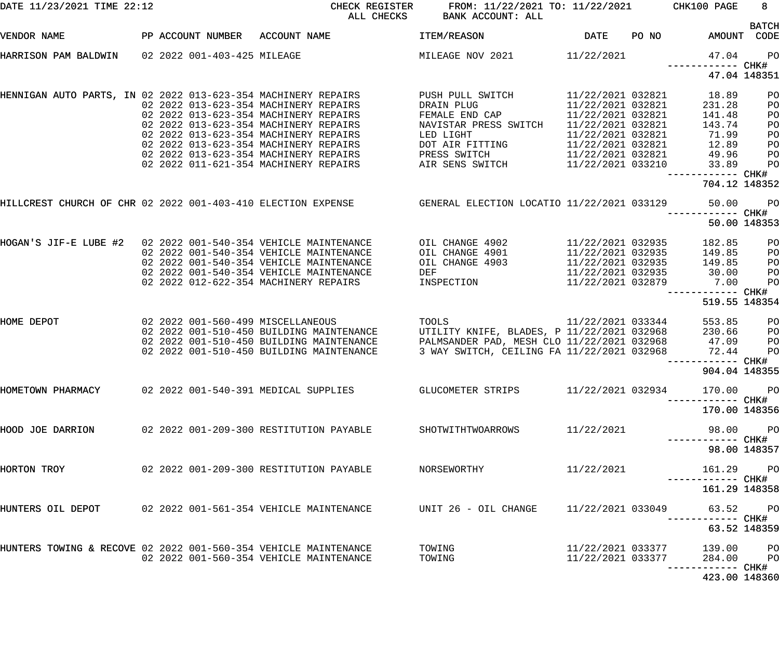| DATE 11/23/2021 TIME 22:12                                                                         |  |                                                                                                         | CHECK REGISTER FROM: 11/22/2021 TO: 11/22/2021 CHK100 PAGE<br>ALL CHECKS BANK ACCOUNT: ALL |                                        |                                    | 8 <sup>1</sup>              |
|----------------------------------------------------------------------------------------------------|--|---------------------------------------------------------------------------------------------------------|--------------------------------------------------------------------------------------------|----------------------------------------|------------------------------------|-----------------------------|
| VENDOR NAME                                                                                        |  | PP ACCOUNT NUMBER ACCOUNT NAME                                                                          | <b>ITEM/REASON</b>                                                                         | DATE PO NO                             |                                    | <b>BATCH</b><br>AMOUNT CODE |
| HARRISON PAM BALDWIN 02 2022 001-403-425 MILEAGE                                                   |  |                                                                                                         | MILEAGE NOV 2021 11/22/2021                                                                |                                        | 47.04<br>------------ CHK#         | PO                          |
|                                                                                                    |  |                                                                                                         |                                                                                            |                                        |                                    | 47.04 148351                |
| HENNIGAN AUTO PARTS, IN 02 2022 013-623-354 MACHINERY REPAIRS                                      |  | 02  2022  013-623-354  MACHINERY REPAIRS                                                                | PUSH PULL SWITCH<br>DRAIN PLUG                                                             | 11/22/2021 032821                      | 11/22/2021 032821 18.89<br>231.28  | PO<br>PO                    |
|                                                                                                    |  | 02 2022 013-623-354 MACHINERY REPAIRS                                                                   | FEMALE END CAP                                                                             | 11/22/2021 032821                      | 141.48                             | PO                          |
|                                                                                                    |  | 02 2022 013-623-354 MACHINERY REPAIRS<br>02 2022 013-623-354 MACHINERY REPAIRS                          | NAVISTAR PRESS SWITCH<br>LED LIGHT                                                         | 11/22/2021 032821<br>11/22/2021 032821 | 143.74<br>71.99                    | PO<br>PO                    |
|                                                                                                    |  | 02 2022 013-623-354 MACHINERY REPAIRS                                                                   | DOT AIR FITTING                                                                            | 11/22/2021 032821                      | 12.89                              | PO                          |
|                                                                                                    |  | 02  2022  013-623-354  MACHINERY REPAIRS                                                                | PRESS SWITCH 11/22/2021 032821                                                             |                                        | 49.96                              | PO                          |
|                                                                                                    |  | 02 2022 011-621-354 MACHINERY REPAIRS                                                                   | AIR SENS SWITCH 11/22/2021 033210                                                          |                                        | 33.89                              | PO                          |
|                                                                                                    |  |                                                                                                         |                                                                                            |                                        | ------------ CHK#<br>704.12 148352 |                             |
|                                                                                                    |  | HILLCREST CHURCH OF CHR 02 2022 001-403-410 ELECTION EXPENSE GENERAL ELECTION LOCATIO 11/22/2021 033129 |                                                                                            |                                        | 50.00<br>------------ CHK#         | PO                          |
|                                                                                                    |  |                                                                                                         |                                                                                            |                                        |                                    | 50.00 148353                |
| HOGAN'S JIF-E LUBE #2  02  2022  001-540-354                                   VEHICLE MAINTENANCE |  |                                                                                                         | OIL CHANGE 4902 11/22/2021 032935                                                          |                                        | 182.85                             | PO                          |
|                                                                                                    |  | 02 2022 001-540-354 VEHICLE MAINTENANCE                                                                 | OIL CHANGE 4901 11/22/2021 032935                                                          |                                        | 149.85                             | PO                          |
|                                                                                                    |  | 02 2022 001-540-354 VEHICLE MAINTENANCE                                                                 | OIL CHANGE 4903                                                                            |                                        | 11/22/2021 032935 149.85           | PO                          |
|                                                                                                    |  | 02 2022 001-540-354 VEHICLE MAINTENANCE                                                                 | DEF                                                                                        | 11/22/2021 032935                      | 30.00                              | PO                          |
|                                                                                                    |  | 02  2022  012-622-354  MACHINERY REPAIRS                                                                | INSPECTION                                                                                 | 11/22/2021 032879                      | 7.00<br>------------ CHK#          | PO                          |
|                                                                                                    |  |                                                                                                         |                                                                                            |                                        | 519.55 148354                      |                             |
| HOME DEPOT                                                                                         |  | 02 2022 001-560-499 MISCELLANEOUS                                                                       | TOOLS 11/22/2021 033344                                                                    |                                        | 553.85                             | PO                          |
|                                                                                                    |  | 02 2022 001-510-450 BUILDING MAINTENANCE                                                                | UTILITY KNIFE, BLADES, P 11/22/2021 032968                                                 |                                        | 230.66                             | PO                          |
|                                                                                                    |  | 02 2022 001-510-450 BUILDING MAINTENANCE                                                                | PALMSANDER PAD, MESH CLO 11/22/2021 032968                                                 |                                        | 47.09                              | PO                          |
|                                                                                                    |  | 02 2022 001-510-450 BUILDING MAINTENANCE                                                                | 3 WAY SWITCH, CEILING FA 11/22/2021 032968                                                 |                                        | 72.44                              | PO                          |
|                                                                                                    |  |                                                                                                         |                                                                                            |                                        | ------------ CHK#<br>904.04 148355 |                             |
| HOMETOWN PHARMACY                                                                                  |  | 02 2022 001-540-391 MEDICAL SUPPLIES                                                                    | GLUCOMETER STRIPS                                                                          | 11/22/2021 032934                      | 170.00 PO<br>----------- CHK#      |                             |
|                                                                                                    |  |                                                                                                         |                                                                                            |                                        | 170.00 148356                      |                             |
| HOOD JOE DARRION                                                                                   |  | 02  2022  001-209-300 RESTITUTION PAYABLE                                                               | SHOTWITHTWOARROWS                                                                          | 11/22/2021                             |                                    | 98.00 PO                    |
|                                                                                                    |  |                                                                                                         |                                                                                            |                                        |                                    | 98.00 148357                |
| HORTON TROY                                                                                        |  | 02 2022 001-209-300 RESTITUTION PAYABLE                                                                 | NORSEWORTHY                                                                                | 11/22/2021                             | 161.29 PO                          |                             |
|                                                                                                    |  |                                                                                                         |                                                                                            |                                        | 161.29 148358                      |                             |
| HUNTERS OIL DEPOT                                                                                  |  | 02 2022 001-561-354 VEHICLE MAINTENANCE                                                                 | UNIT 26 - OIL CHANGE                                                                       | 11/22/2021 033049                      |                                    | 63.52 PO                    |
|                                                                                                    |  |                                                                                                         |                                                                                            |                                        |                                    | 63.52 148359                |
| HUNTERS TOWING & RECOVE 02 2022 001-560-354 VEHICLE MAINTENANCE                                    |  |                                                                                                         | TOWING                                                                                     | 11/22/2021 033377                      | 139.00 PO                          |                             |
|                                                                                                    |  | 02 2022 001-560-354 VEHICLE MAINTENANCE                                                                 | TOWING                                                                                     | 11/22/2021 033377                      | 284.00 PO<br>----------- CHK#      |                             |
|                                                                                                    |  |                                                                                                         |                                                                                            |                                        | 423.00 148360                      |                             |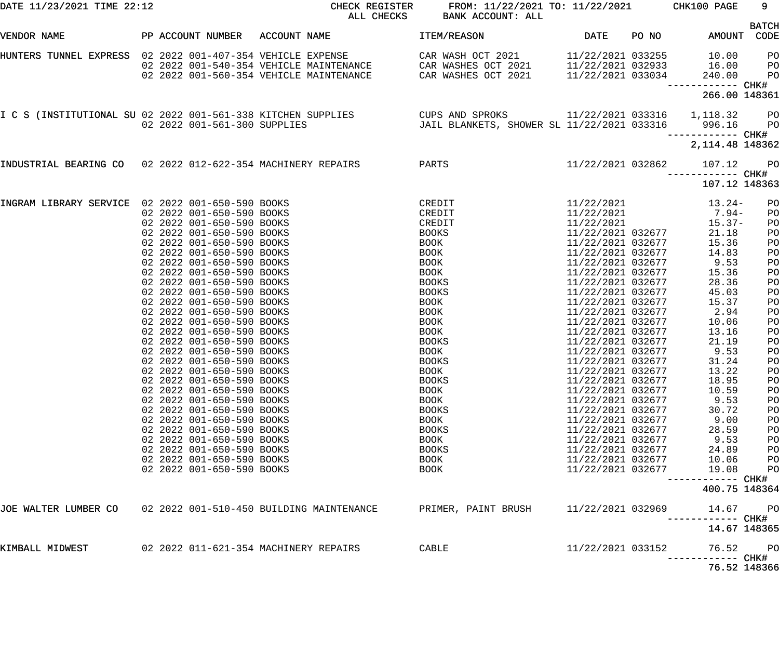| DATE 11/23/2021 TIME 22:12                                  |                                                                                                                  | CHECK REGISTER<br>ALL CHECKS                                                                                                                                                                                  | FROM: 11/22/2021 TO: 11/22/2021 CHK100 PAGE<br>BANK ACCOUNT: ALL |                                                                                  |       |                                                                      | 9                                |
|-------------------------------------------------------------|------------------------------------------------------------------------------------------------------------------|---------------------------------------------------------------------------------------------------------------------------------------------------------------------------------------------------------------|------------------------------------------------------------------|----------------------------------------------------------------------------------|-------|----------------------------------------------------------------------|----------------------------------|
| VENDOR NAME                                                 |                                                                                                                  | PP ACCOUNT NUMBER ACCOUNT NAME                                                                                                                                                                                | ITEM/REASON                                                      | DATE                                                                             | PO NO | AMOUNT CODE                                                          | <b>BATCH</b>                     |
| HUNTERS TUNNEL EXPRESS 02 2022 001-407-354 VEHICLE EXPENSE  |                                                                                                                  | 02  2022  001-540-354  VEHICLE MAINTENANCE  CAR WASHES OCT  2021<br>02  2022  001-560-354  VEHICLE MAINTENANCE  CAR WASHES OCT  2021                                                                          | CAR WASH OCT 2021                                                | 11/22/2021 033255                                                                |       | 10.00<br>$11/22/2021$ 032933 $16.00$<br>$11/22/2021$ 033034 $240.00$ | PО<br>$P$ O<br>P <sub>O</sub>    |
|                                                             |                                                                                                                  |                                                                                                                                                                                                               |                                                                  |                                                                                  |       | ------------ CHK#<br>266.00 148361                                   |                                  |
|                                                             |                                                                                                                  | 1,118.32 CUPS AND SPROKS 11/22/2021 033316 1,118.32 001-561-338 KITCHEN SUPPLIES CUPS AND SPROKS 11/22/2021 033316 1,118.32<br>02 2022 001-561-300 SUPPLIES JAIL BLANKETS, SHOWER SL 11/22/2021 033316 996.16 |                                                                  |                                                                                  |       |                                                                      | <b>PO</b><br><b>PO</b>           |
|                                                             |                                                                                                                  |                                                                                                                                                                                                               |                                                                  |                                                                                  |       | 2, 114.48 148362                                                     |                                  |
| INDUSTRIAL BEARING CO 02 2022 012-622-354 MACHINERY REPAIRS |                                                                                                                  | PARTS                                                                                                                                                                                                         |                                                                  | 11/22/2021 032862                                                                |       | 107.12                                                               | <b>PO</b>                        |
|                                                             |                                                                                                                  |                                                                                                                                                                                                               |                                                                  |                                                                                  |       | 107.12 148363                                                        |                                  |
| INGRAM LIBRARY SERVICE 02 2022 001-650-590 BOOKS            | 02 2022 001-650-590 BOOKS<br>02 2022 001-650-590 BOOKS<br>02 2022 001-650-590 BOOKS<br>02 2022 001-650-590 BOOKS |                                                                                                                                                                                                               | CREDIT<br>CREDIT<br>CREDIT<br>BOOKS<br>BOOK                      | 11/22/2021<br>11/22/2021<br>11/22/2021<br>11/22/2021 032677<br>11/22/2021 032677 |       | 13.24-<br>$7.94-$<br>$15.37-$<br>21.18<br>15.36                      | PO<br>PO<br>PO<br>PO             |
|                                                             | 02 2022 001-650-590 BOOKS<br>02 2022 001-650-590 BOOKS<br>02 2022 001-650-590 BOOKS<br>02 2022 001-650-590 BOOKS |                                                                                                                                                                                                               | BOOK<br><b>BOOK</b><br>BOOK<br><b>BOOKS</b>                      | 11/22/2021 032677<br>11/22/2021 032677<br>11/22/2021 032677<br>11/22/2021 032677 |       | 14.83<br>9.53<br>15.36<br>28.36                                      | PO<br>PO<br>PO<br>PO<br>PO       |
|                                                             | 02 2022 001-650-590 BOOKS<br>02 2022 001-650-590 BOOKS<br>02 2022 001-650-590 BOOKS<br>02 2022 001-650-590 BOOKS |                                                                                                                                                                                                               | <b>BOOKS</b><br>BOOK<br><b>BOOK</b><br><b>BOOK</b>               | 11/22/2021 032677<br>11/22/2021 032677<br>11/22/2021 032677<br>11/22/2021 032677 |       | 45.03<br>15.37<br>2.94<br>10.06                                      | PO<br>PO<br>PO<br>PO             |
|                                                             | 02 2022 001-650-590 BOOKS<br>02 2022 001-650-590 BOOKS<br>02 2022 001-650-590 BOOKS<br>02 2022 001-650-590 BOOKS |                                                                                                                                                                                                               | BOOK<br><b>BOOKS</b><br>BOOK<br><b>BOOKS</b>                     | 11/22/2021 032677<br>11/22/2021 032677<br>11/22/2021 032677<br>11/22/2021 032677 |       | 13.16<br>21.19<br>9.53<br>31.24                                      | PO<br>PO<br>PO<br>PO             |
|                                                             | 02 2022 001-650-590 BOOKS<br>02 2022 001-650-590 BOOKS<br>02 2022 001-650-590 BOOKS<br>02 2022 001-650-590 BOOKS |                                                                                                                                                                                                               | BOOK<br><b>BOOKS</b><br><b>BOOK</b><br><b>BOOK</b>               | 11/22/2021 032677<br>11/22/2021 032677<br>11/22/2021 032677<br>11/22/2021 032677 |       | 13.22<br>18.95<br>10.59<br>9.53                                      | P <sub>O</sub><br>PO<br>PO<br>PO |
|                                                             | 02 2022 001-650-590 BOOKS<br>02 2022 001-650-590 BOOKS<br>02 2022 001-650-590 BOOKS<br>02 2022 001-650-590 BOOKS |                                                                                                                                                                                                               | <b>BOOKS</b><br>BOOK<br><b>BOOKS</b><br>BOOK                     | 11/22/2021 032677<br>11/22/2021 032677<br>11/22/2021 032677<br>11/22/2021 032677 |       | 30.72<br>9.00<br>28.59<br>9.53                                       | PO<br>PO<br>PO<br>PO             |
|                                                             | 02 2022 001-650-590 BOOKS<br>02 2022 001-650-590 BOOKS<br>02 2022 001-650-590 BOOKS                              |                                                                                                                                                                                                               | <b>BOOKS</b><br>BOOK<br><b>BOOK</b>                              | 11/22/2021 032677<br>11/22/2021 032677<br>11/22/2021 032677                      |       | 24.89<br>10.06<br>19.08<br>--------- CHK#                            | PO<br>PO<br>PO                   |
|                                                             |                                                                                                                  |                                                                                                                                                                                                               |                                                                  |                                                                                  |       | 400.75 148364                                                        |                                  |
| JOE WALTER LUMBER CO                                        |                                                                                                                  | 02 2022 001-510-450 BUILDING MAINTENANCE                                                                                                                                                                      | PRIMER, PAINT BRUSH                                              | 11/22/2021 032969                                                                |       | 14.67<br>------ CHK#                                                 | P <sub>O</sub>                   |
|                                                             |                                                                                                                  |                                                                                                                                                                                                               |                                                                  |                                                                                  |       | 14.67 148365                                                         |                                  |
| KIMBALL MIDWEST                                             |                                                                                                                  |                                                                                                                                                                                                               | CABLE                                                            | 11/22/2021 033152                                                                |       | 76.52<br>------ CHK#                                                 | P <sub>O</sub>                   |
|                                                             |                                                                                                                  |                                                                                                                                                                                                               |                                                                  |                                                                                  |       | 76.52 148366                                                         |                                  |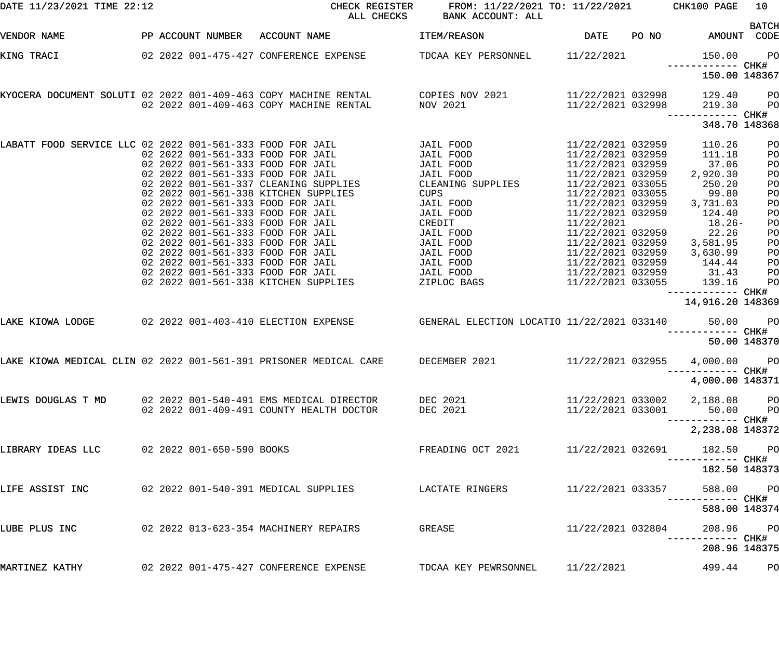| DATE 11/23/2021 TIME 22:12                                |  | CHECK REGISTER<br>ALL CHECKS                                                                                                                                                                                                                                                                                                                                                                                                                                                                                                                 | FROM: 11/22/2021 TO: 11/22/2021 CHK100 PAGE<br>BANK ACCOUNT: ALL                                                                                                                                  |                                                                                                                                                                                                                                                                                                                  |       |                                                                                                                                                          | 10                                                                                                             |
|-----------------------------------------------------------|--|----------------------------------------------------------------------------------------------------------------------------------------------------------------------------------------------------------------------------------------------------------------------------------------------------------------------------------------------------------------------------------------------------------------------------------------------------------------------------------------------------------------------------------------------|---------------------------------------------------------------------------------------------------------------------------------------------------------------------------------------------------|------------------------------------------------------------------------------------------------------------------------------------------------------------------------------------------------------------------------------------------------------------------------------------------------------------------|-------|----------------------------------------------------------------------------------------------------------------------------------------------------------|----------------------------------------------------------------------------------------------------------------|
| VENDOR NAME                                               |  | PP ACCOUNT NUMBER ACCOUNT NAME                                                                                                                                                                                                                                                                                                                                                                                                                                                                                                               | ITEM/REASON                                                                                                                                                                                       | DATE                                                                                                                                                                                                                                                                                                             | PO NO | AMOUNT CODE                                                                                                                                              | <b>BATCH</b>                                                                                                   |
| KING TRACI                                                |  | 02  2022  001-475-427  CONFERENCE EXPENSE  TDCAA KEY PERSONNEL  11/22/2021                                                                                                                                                                                                                                                                                                                                                                                                                                                                   |                                                                                                                                                                                                   |                                                                                                                                                                                                                                                                                                                  |       | 150.00                                                                                                                                                   | <b>PO</b>                                                                                                      |
|                                                           |  |                                                                                                                                                                                                                                                                                                                                                                                                                                                                                                                                              |                                                                                                                                                                                                   |                                                                                                                                                                                                                                                                                                                  |       | 150.00 148367                                                                                                                                            |                                                                                                                |
|                                                           |  | KYOCERA DOCUMENT SOLUTI 02 2022 001-409-463 COPY MACHINE RENTAL          COPIES NOV 2021<br>02 2022 001-409-463 COPY MACHINE RENTAL                                                                                                                                                                                                                                                                                                                                                                                                          | NOV 2021                                                                                                                                                                                          | 11/22/2021 032998<br>11/22/2021 032998                                                                                                                                                                                                                                                                           |       | 129.40<br>219.30<br>------------ CHK#                                                                                                                    | PО<br>P <sub>O</sub>                                                                                           |
|                                                           |  |                                                                                                                                                                                                                                                                                                                                                                                                                                                                                                                                              |                                                                                                                                                                                                   |                                                                                                                                                                                                                                                                                                                  |       | 348.70 148368                                                                                                                                            |                                                                                                                |
| LABATT FOOD SERVICE LLC 02 2022 001-561-333 FOOD FOR JAIL |  | 02 2022 001-561-333 FOOD FOR JAIL<br>02 2022 001-561-333 FOOD FOR JAIL<br>02 2022 001-561-333 FOOD FOR JAIL<br>02 2022 001-561-337 CLEANING SUPPLIES<br>02 2022 001-561-338 KITCHEN SUPPLIES<br>02 2022 001-561-333 FOOD FOR JAIL<br>02 2022 001-561-333 FOOD FOR JAIL<br>02 2022 001-561-333 FOOD FOR JAIL<br>02 2022 001-561-333 FOOD FOR JAIL<br>02 2022 001-561-333 FOOD FOR JAIL<br>02 2022 001-561-333 FOOD FOR JAIL<br>02 2022 001-561-333 FOOD FOR JAIL<br>02 2022 001-561-333 FOOD FOR JAIL<br>02 2022 001-561-338 KITCHEN SUPPLIES | JAIL FOOD<br>JAIL FOOD<br>JAIL FOOD<br>JAIL FOOD<br>CLEANING SUPPLIES<br>CUPS<br>JAIL FOOD<br>JAIL FOOD<br>CREDIT<br>JAIL FOOD<br>JAIL FOOD<br>JAIL FOOD<br>JAIL FOOD<br>JAIL FOOD<br>ZIPLOC BAGS | 11/22/2021 032959<br>11/22/2021 032959<br>11/22/2021 032959<br>11/22/2021 032959<br>11/22/2021 033055<br>11/22/2021 033055<br>11/22/2021 032959<br>11/22/2021 032959<br>11/22/2021<br>11/22/2021 032959<br>11/22/2021 032959<br>11/22/2021 032959<br>11/22/2021 032959<br>11/22/2021 032959<br>11/22/2021 033055 |       | 110.26<br>111.18<br>37.06<br>2,920.30<br>250.20<br>99.80<br>3,731.03<br>124.40<br>$18.26-$<br>22.26<br>3,581.95<br>3,630.99<br>144.44<br>31.43<br>139.16 | PO<br>PO<br>PO<br>PO<br>PO<br>PO<br>PO<br>PO<br>PO<br>PO<br>PO<br>PO<br>PO<br>P <sub>O</sub><br>P <sub>O</sub> |
| LAKE KIOWA LODGE                                          |  | 02 2022 001-403-410 ELECTION EXPENSE  GENERAL ELECTION LOCATIO 11/22/2021 033140                                                                                                                                                                                                                                                                                                                                                                                                                                                             |                                                                                                                                                                                                   |                                                                                                                                                                                                                                                                                                                  |       | 14,916.20 148369<br>50.00                                                                                                                                | <b>PO</b>                                                                                                      |
|                                                           |  |                                                                                                                                                                                                                                                                                                                                                                                                                                                                                                                                              |                                                                                                                                                                                                   |                                                                                                                                                                                                                                                                                                                  |       | 50.00 148370                                                                                                                                             |                                                                                                                |
|                                                           |  | LAKE KIOWA MEDICAL CLIN 02 2022 001-561-391 PRISONER MEDICAL CARE BECEMBER 2021 11/22/2021 032955 4,000.00                                                                                                                                                                                                                                                                                                                                                                                                                                   |                                                                                                                                                                                                   |                                                                                                                                                                                                                                                                                                                  |       | ------------ CHK#                                                                                                                                        | $P$ O                                                                                                          |
|                                                           |  |                                                                                                                                                                                                                                                                                                                                                                                                                                                                                                                                              |                                                                                                                                                                                                   |                                                                                                                                                                                                                                                                                                                  |       | 4,000.00 148371                                                                                                                                          |                                                                                                                |
|                                                           |  | LEWIS DOUGLAS T MD    02 2022 001-540-491 EMS MEDICAL DIRECTOR    DEC 2021<br>02  2022  001-409-491  COUNTY  HEALTH  DOCTOR                                                                                                                                                                                                                                                                                                                                                                                                                  | DEC 2021                                                                                                                                                                                          |                                                                                                                                                                                                                                                                                                                  |       | 11/22/2021 033002 2,188.08 PO<br>11/22/2021 033001 50.00 PO<br>------------ CHK#                                                                         |                                                                                                                |
|                                                           |  |                                                                                                                                                                                                                                                                                                                                                                                                                                                                                                                                              |                                                                                                                                                                                                   |                                                                                                                                                                                                                                                                                                                  |       | 2,238.08 148372                                                                                                                                          |                                                                                                                |
| LIBRARY IDEAS LLC 02 2022 001-650-590 BOOKS               |  |                                                                                                                                                                                                                                                                                                                                                                                                                                                                                                                                              | FREADING OCT 2021                                                                                                                                                                                 | 11/22/2021 032691                                                                                                                                                                                                                                                                                                |       | 182.50 PO                                                                                                                                                |                                                                                                                |
|                                                           |  |                                                                                                                                                                                                                                                                                                                                                                                                                                                                                                                                              |                                                                                                                                                                                                   |                                                                                                                                                                                                                                                                                                                  |       | 182.50 148373                                                                                                                                            |                                                                                                                |
|                                                           |  | LIFE ASSIST INC       02 2022 001-540-391 MEDICAL SUPPLIES       LACTATE RINGERS                                                                                                                                                                                                                                                                                                                                                                                                                                                             |                                                                                                                                                                                                   | 11/22/2021 033357                                                                                                                                                                                                                                                                                                |       | 588.00 PO                                                                                                                                                |                                                                                                                |
|                                                           |  |                                                                                                                                                                                                                                                                                                                                                                                                                                                                                                                                              |                                                                                                                                                                                                   |                                                                                                                                                                                                                                                                                                                  |       | 588.00 148374                                                                                                                                            |                                                                                                                |
| LUBE PLUS INC                                             |  | 02 2022 013-623-354 MACHINERY REPAIRS                                                                                                                                                                                                                                                                                                                                                                                                                                                                                                        | GREASE                                                                                                                                                                                            | 11/22/2021 032804                                                                                                                                                                                                                                                                                                |       | 208.96 PO                                                                                                                                                |                                                                                                                |
|                                                           |  |                                                                                                                                                                                                                                                                                                                                                                                                                                                                                                                                              |                                                                                                                                                                                                   |                                                                                                                                                                                                                                                                                                                  |       | 208.96 148375                                                                                                                                            |                                                                                                                |
| MARTINEZ KATHY                                            |  | 02  2022  001-475-427  CONFERENCE EXPENSE                                                                                                                                                                                                                                                                                                                                                                                                                                                                                                    | TDCAA KEY PEWRSONNEL 11/22/2021                                                                                                                                                                   |                                                                                                                                                                                                                                                                                                                  |       | 499.44                                                                                                                                                   | P <sub>O</sub>                                                                                                 |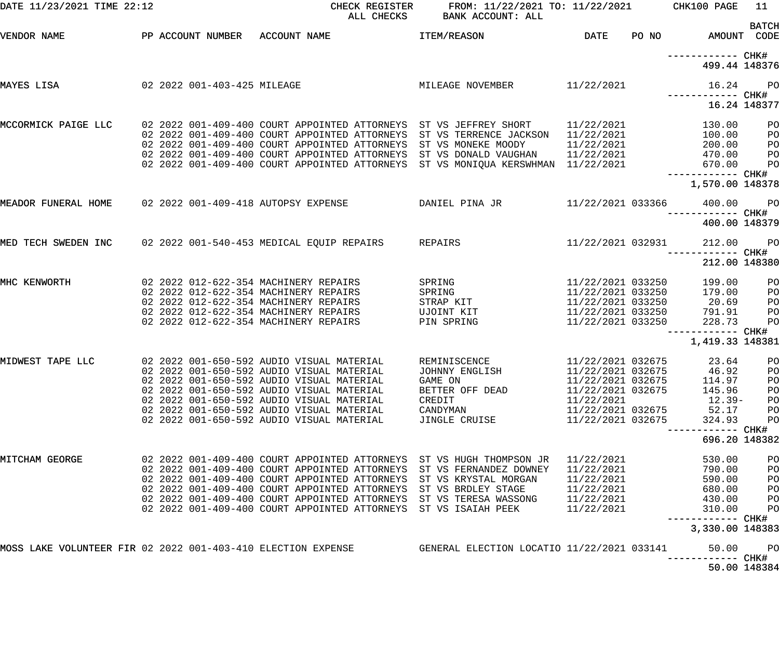| DATE 11/23/2021 TIME 22:12                                   |  |  |                                           | CHECK REGISTER<br>ALL CHECKS                  | FROM: 11/22/2021 TO: 11/22/2021<br>BANK ACCOUNT: ALL                                        |                          |       | CHK100 PAGE                          | 11                          |
|--------------------------------------------------------------|--|--|-------------------------------------------|-----------------------------------------------|---------------------------------------------------------------------------------------------|--------------------------|-------|--------------------------------------|-----------------------------|
| VENDOR NAME                                                  |  |  | PP ACCOUNT NUMBER ACCOUNT NAME            |                                               | ITEM/REASON                                                                                 | <b>DATE</b>              | PO NO |                                      | <b>BATCH</b><br>AMOUNT CODE |
|                                                              |  |  |                                           |                                               |                                                                                             |                          |       | ------------ CHK#<br>499.44 148376   |                             |
| 02 2022 001-403-425 MILEAGE<br>MAYES LISA                    |  |  |                                           |                                               | MILEAGE NOVEMBER                                                                            | 11/22/2021               |       | 16.24<br>------------ CHK#           | PO                          |
|                                                              |  |  |                                           |                                               |                                                                                             |                          |       |                                      | 16.24 148377                |
| MCCORMICK PAIGE LLC                                          |  |  |                                           | 02 2022 001-409-400 COURT APPOINTED ATTORNEYS | 02 2022 001-409-400 COURT APPOINTED ATTORNEYS ST VS JEFFREY SHORT<br>ST VS TERRENCE JACKSON | 11/22/2021<br>11/22/2021 |       | 130.00<br>100.00                     | PO<br>PO                    |
|                                                              |  |  |                                           | 02 2022 001-409-400 COURT APPOINTED ATTORNEYS | ST VS MONEKE MOODY                                                                          | 11/22/2021               |       | 200.00                               | PO                          |
|                                                              |  |  |                                           | 02 2022 001-409-400 COURT APPOINTED ATTORNEYS | ST VS DONALD VAUGHAN                                                                        | 11/22/2021               |       | 470.00                               | PO                          |
|                                                              |  |  |                                           | 02 2022 001-409-400 COURT APPOINTED ATTORNEYS | ST VS MONIQUA KERSWHMAN 11/22/2021                                                          |                          |       | 670.00                               | PO                          |
|                                                              |  |  |                                           |                                               |                                                                                             |                          |       | ------------ CHK#                    |                             |
|                                                              |  |  |                                           |                                               |                                                                                             |                          |       | 1,570.00 148378                      |                             |
| MEADOR FUNERAL HOME                                          |  |  | 02 2022 001-409-418 AUTOPSY EXPENSE       |                                               | DANIEL PINA JR                                                                              | 11/22/2021 033366        |       | 400.00<br>------------ CHK#          | PO                          |
|                                                              |  |  |                                           |                                               |                                                                                             |                          |       | 400.00 148379                        |                             |
| MED TECH SWEDEN INC                                          |  |  | 02 2022 001-540-453 MEDICAL EQUIP REPAIRS |                                               | REPAIRS                                                                                     | 11/22/2021 032931        |       | 212.00<br>------------ CHK#          | PO                          |
|                                                              |  |  |                                           |                                               |                                                                                             |                          |       | 212.00 148380                        |                             |
| MHC KENWORTH                                                 |  |  | 02 2022 012-622-354 MACHINERY REPAIRS     |                                               | SPRING                                                                                      | 11/22/2021 033250        |       | 199.00                               | PO                          |
|                                                              |  |  | 02 2022 012-622-354 MACHINERY REPAIRS     |                                               | SPRING                                                                                      | 11/22/2021 033250        |       | 179.00                               | PO                          |
|                                                              |  |  | 02 2022 012-622-354 MACHINERY REPAIRS     |                                               | STRAP KIT                                                                                   | 11/22/2021 033250        |       | 20.69                                | PO                          |
|                                                              |  |  | 02 2022 012-622-354 MACHINERY REPAIRS     |                                               | UJOINT KIT                                                                                  | 11/22/2021 033250        |       | 791.91                               | PO                          |
|                                                              |  |  | 02 2022 012-622-354 MACHINERY REPAIRS     |                                               | PIN SPRING                                                                                  | 11/22/2021 033250        |       | 228.73                               | PO                          |
|                                                              |  |  |                                           |                                               |                                                                                             |                          |       | ------------ CHK#<br>1,419.33 148381 |                             |
| MIDWEST TAPE LLC                                             |  |  | 02 2022 001-650-592 AUDIO VISUAL MATERIAL |                                               | REMINISCENCE                                                                                | 11/22/2021 032675        |       | 23.64                                | PO                          |
|                                                              |  |  | 02 2022 001-650-592 AUDIO VISUAL MATERIAL |                                               | JOHNNY ENGLISH                                                                              | 11/22/2021 032675        |       | 46.92                                | PO                          |
|                                                              |  |  | 02 2022 001-650-592 AUDIO VISUAL MATERIAL |                                               | GAME ON                                                                                     | 11/22/2021 032675        |       | 114.97                               | PO                          |
|                                                              |  |  | 02 2022 001-650-592 AUDIO VISUAL MATERIAL |                                               | BETTER OFF DEAD                                                                             | 11/22/2021 032675        |       | 145.96                               | PO                          |
|                                                              |  |  | 02 2022 001-650-592 AUDIO VISUAL MATERIAL |                                               | CREDIT                                                                                      | 11/22/2021               |       | $12.39-$                             | PO                          |
|                                                              |  |  | 02 2022 001-650-592 AUDIO VISUAL MATERIAL |                                               | CANDYMAN                                                                                    | 11/22/2021 032675        |       | 52.17                                | PO                          |
|                                                              |  |  | 02 2022 001-650-592 AUDIO VISUAL MATERIAL |                                               | JINGLE CRUISE                                                                               | 11/22/2021 032675        |       | 324.93                               | PO                          |
|                                                              |  |  |                                           |                                               |                                                                                             |                          |       | ------- CHK#<br>696.20 148382        |                             |
| MITCHAM GEORGE                                               |  |  |                                           |                                               | 02 2022 001-409-400 COURT APPOINTED ATTORNEYS ST VS HUGH THOMPSON JR                        | 11/22/2021               |       | 530.00                               | PO                          |
|                                                              |  |  |                                           |                                               | 02 2022 001-409-400 COURT APPOINTED ATTORNEYS ST VS FERNANDEZ DOWNEY                        | 11/22/2021               |       | 790.00                               | PO                          |
|                                                              |  |  |                                           |                                               | 02 2022 001-409-400 COURT APPOINTED ATTORNEYS ST VS KRYSTAL MORGAN                          | 11/22/2021               |       | 590.00                               | PO                          |
|                                                              |  |  |                                           |                                               | 02 2022 001-409-400 COURT APPOINTED ATTORNEYS ST VS BRDLEY STAGE                            | 11/22/2021               |       | 680.00                               | PO                          |
|                                                              |  |  |                                           |                                               | 02 2022 001-409-400 COURT APPOINTED ATTORNEYS ST VS TERESA WASSONG                          | 11/22/2021               |       | 430.00                               | PO                          |
|                                                              |  |  |                                           |                                               | 02 2022 001-409-400 COURT APPOINTED ATTORNEYS ST VS ISAIAH PEEK                             | 11/22/2021               |       | 310.00<br>------------ CHK#          | PO                          |
|                                                              |  |  |                                           |                                               |                                                                                             |                          |       | 3,330.00 148383                      |                             |
| MOSS LAKE VOLUNTEER FIR 02 2022 001-403-410 ELECTION EXPENSE |  |  |                                           |                                               | GENERAL ELECTION LOCATIO 11/22/2021 033141                                                  |                          |       | 50.00<br>----- CHK#                  | PO                          |
|                                                              |  |  |                                           |                                               |                                                                                             |                          |       |                                      | 50.00 148384                |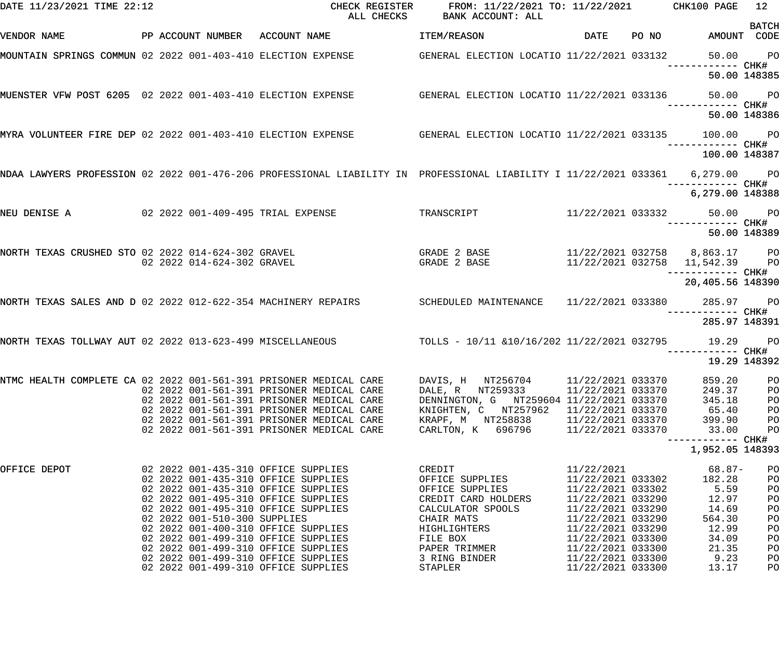| DATE 11/23/2021 TIME 22:12                                    |                                | CHECK REGISTER<br>ALL CHECKS                                                                                     | FROM: 11/22/2021 TO: 11/22/2021 CHK100 PAGE<br>BANK ACCOUNT: ALL |                                        |                                                                 | 12                          |
|---------------------------------------------------------------|--------------------------------|------------------------------------------------------------------------------------------------------------------|------------------------------------------------------------------|----------------------------------------|-----------------------------------------------------------------|-----------------------------|
| VENDOR NAME                                                   | PP ACCOUNT NUMBER ACCOUNT NAME |                                                                                                                  | <b>ITEM/REASON</b>                                               | DATE PONO                              |                                                                 | <b>BATCH</b><br>AMOUNT CODE |
|                                                               |                                | MOUNTAIN SPRINGS COMMUN 02 2022 001-403-410 ELECTION EXPENSE GENERAL ELECTION LOCATIO 11/22/2021 033132          |                                                                  |                                        |                                                                 | 50.00 PO                    |
|                                                               |                                |                                                                                                                  |                                                                  |                                        |                                                                 | 50.00 148385                |
|                                                               |                                | MUENSTER VFW POST 6205 02 2022 001-403-410 ELECTION EXPENSE GENERAL ELECTION LOCATIO 11/22/2021 033136           |                                                                  |                                        |                                                                 | 50.00 PO                    |
|                                                               |                                |                                                                                                                  |                                                                  |                                        |                                                                 | 50.00 148386                |
|                                                               |                                | MYRA VOLUNTEER FIRE DEP 02 2022 001-403-410 ELECTION EXPENSE SENERAL ELECTION LOCATIO 11/22/2021 033135          |                                                                  |                                        | 100.00 PO                                                       |                             |
|                                                               |                                | NDAA LAWYERS PROFESSION 02 2022 001-476-206 PROFESSIONAL LIABILITY IN PROFESSIONAL LIABILITY I 11/22/2021 033361 |                                                                  |                                        | 100.00 148387<br>6,279.00 PO                                    |                             |
|                                                               |                                |                                                                                                                  |                                                                  |                                        | ------------ CHK#<br>6,279.00 148388                            |                             |
| NEU DENISE A $02\ 2022\ 001-409-495$ TRIAL EXPENSE            |                                |                                                                                                                  | TRANSCRIPT 11/22/2021 033332 50.00 PO                            |                                        |                                                                 |                             |
|                                                               |                                |                                                                                                                  |                                                                  |                                        |                                                                 | 50.00 148389                |
| NORTH TEXAS CRUSHED STO 02 2022 014-624-302 GRAVEL            | 02 2022 014-624-302 GRAVEL     |                                                                                                                  | GRADE 2 BASE<br>GRADE 2 BASE                                     |                                        | 11/22/2021 032758 8,863.17 PO<br>11/22/2021 032758 11,542.39 PO |                             |
|                                                               |                                |                                                                                                                  |                                                                  |                                        | ------------ CHK#<br>20,405.56 148390                           |                             |
| NORTH TEXAS SALES AND D 02 2022 012-622-354 MACHINERY REPAIRS |                                |                                                                                                                  | SCHEDULED MAINTENANCE  11/22/2021 033380  285.97  PO             |                                        |                                                                 |                             |
|                                                               |                                |                                                                                                                  |                                                                  |                                        | 285.97 148391                                                   |                             |
| NORTH TEXAS TOLLWAY AUT 02 2022 013-623-499 MISCELLANEOUS     |                                |                                                                                                                  | TOLLS - 10/11 &10/16/202 11/22/2021 032795 19.29 PO              |                                        |                                                                 | 19.29 148392                |
|                                                               |                                |                                                                                                                  |                                                                  |                                        |                                                                 |                             |
|                                                               |                                | NTMC HEALTH COMPLETE CA 02 2022 001-561-391 PRISONER MEDICAL CARE<br>02 2022 001-561-391 PRISONER MEDICAL CARE   | DAVIS, H NT256704<br>DALE, R NT259333                            | 11/22/2021 033370<br>11/22/2021 033370 | 859.20<br>249.37                                                | PO<br>PO                    |
|                                                               |                                | 02 2022 001-561-391 PRISONER MEDICAL CARE                                                                        | DENNINGTON, G NT259604 11/22/2021 033370                         |                                        | 345.18                                                          | PO                          |
|                                                               |                                | 02 2022 001-561-391 PRISONER MEDICAL CARE                                                                        | KNIGHTEN, C NT257962                                             | 11/22/2021 033370                      | 65.40                                                           | PO                          |
|                                                               |                                | 02 2022 001-561-391 PRISONER MEDICAL CARE<br>02 2022 001-561-391 PRISONER MEDICAL CARE                           | KRAPF, M NT258838<br>CARLTON, K 696796                           | 11/22/2021 033370<br>11/22/2021 033370 | 399.90<br>33.00                                                 | PO<br>PO                    |
|                                                               |                                |                                                                                                                  |                                                                  |                                        | ------------ CHK#                                               |                             |
|                                                               |                                |                                                                                                                  |                                                                  |                                        | 1,952.05 148393                                                 |                             |
| OFFICE DEPOT                                                  |                                | 02 2022 001-435-310 OFFICE SUPPLIES                                                                              | CREDIT                                                           | 11/22/2021                             | 68.87-                                                          | PO                          |
|                                                               |                                | 02 2022 001-435-310 OFFICE SUPPLIES                                                                              | OFFICE SUPPLIES                                                  | 11/22/2021 033302                      | 182.28                                                          | PO                          |
|                                                               |                                | 02 2022 001-435-310 OFFICE SUPPLIES<br>02 2022 001-495-310 OFFICE SUPPLIES                                       | OFFICE SUPPLIES<br>CREDIT CARD HOLDERS                           | 11/22/2021 033302<br>11/22/2021 033290 | 5.59<br>12.97                                                   | PO<br>PO                    |
|                                                               |                                | 02 2022 001-495-310 OFFICE SUPPLIES                                                                              | CALCULATOR SPOOLS                                                | 11/22/2021 033290                      | 14.69                                                           | PO                          |
|                                                               | 02 2022 001-510-300 SUPPLIES   |                                                                                                                  | CHAIR MATS                                                       | 11/22/2021 033290                      | 564.30                                                          | PO                          |
|                                                               |                                | 02 2022 001-400-310 OFFICE SUPPLIES                                                                              | HIGHLIGHTERS                                                     | 11/22/2021 033290                      | 12.99                                                           | PO                          |
|                                                               |                                | 02 2022 001-499-310 OFFICE SUPPLIES                                                                              | FILE BOX                                                         | 11/22/2021 033300                      | 34.09                                                           | PO                          |
|                                                               |                                | 02 2022 001-499-310 OFFICE SUPPLIES                                                                              | PAPER TRIMMER                                                    | 11/22/2021 033300                      | 21.35                                                           | PO                          |
|                                                               |                                | 02 2022 001-499-310 OFFICE SUPPLIES                                                                              | 3 RING BINDER                                                    | 11/22/2021 033300                      | 9.23                                                            | P <sub>O</sub>              |
|                                                               |                                | 02 2022 001-499-310 OFFICE SUPPLIES                                                                              | STAPLER                                                          | 11/22/2021 033300                      | 13.17                                                           | PO                          |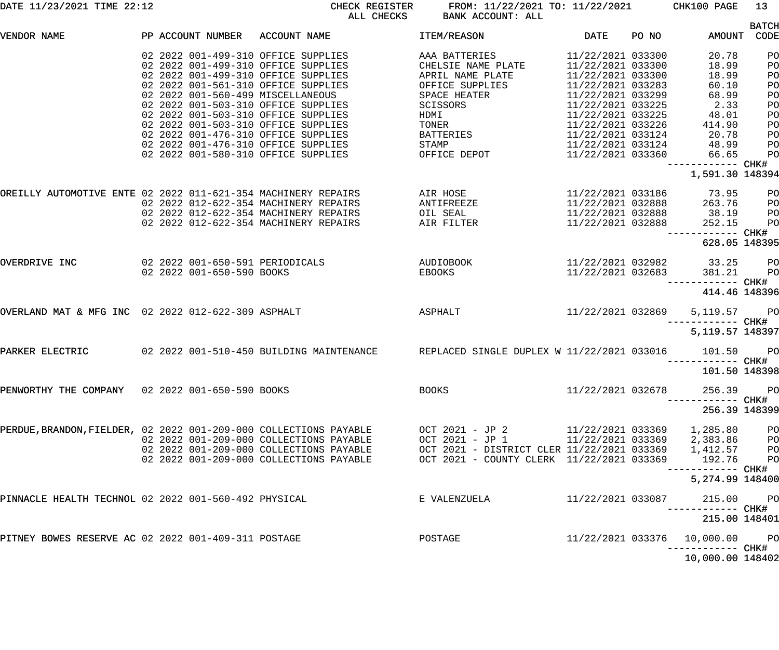| DATE 11/23/2021 TIME 22:12                                        |                                   | CHECK REGISTER<br>ALL CHECKS             | FROM: 11/22/2021 TO: 11/22/2021 CHK100 PAGE<br>BANK ACCOUNT: ALL |                   |       |                             | 13             |
|-------------------------------------------------------------------|-----------------------------------|------------------------------------------|------------------------------------------------------------------|-------------------|-------|-----------------------------|----------------|
|                                                                   |                                   |                                          |                                                                  |                   |       |                             | <b>BATCH</b>   |
| VENDOR NAME                                                       | PP ACCOUNT NUMBER ACCOUNT NAME    |                                          | ITEM/REASON                                                      | DATE              | PO NO | AMOUNT CODE                 |                |
|                                                                   |                                   | 02 2022 001-499-310 OFFICE SUPPLIES      | AAA BATTERIES                                                    | 11/22/2021 033300 |       | 20.78                       | PO             |
|                                                                   |                                   | 02 2022 001-499-310 OFFICE SUPPLIES      | CHELSIE NAME PLATE                                               | 11/22/2021 033300 |       | 18.99                       | PO             |
|                                                                   |                                   | 02 2022 001-499-310 OFFICE SUPPLIES      | APRIL NAME PLATE                                                 | 11/22/2021 033300 |       | 18.99                       | PO             |
|                                                                   |                                   | 02 2022 001-561-310 OFFICE SUPPLIES      | OFFICE SUPPLIES                                                  | 11/22/2021 033283 |       | 60.10                       | PO             |
|                                                                   | 02 2022 001-560-499 MISCELLANEOUS |                                          | SPACE HEATER                                                     | 11/22/2021 033299 |       | 68.99                       | PO             |
|                                                                   |                                   | 02 2022 001-503-310 OFFICE SUPPLIES      | SCISSORS                                                         | 11/22/2021 033225 |       | 2.33                        | PO             |
|                                                                   |                                   | 02 2022 001-503-310 OFFICE SUPPLIES      | HDMI                                                             | 11/22/2021 033225 |       | 48.01                       | PO             |
|                                                                   |                                   | 02 2022 001-503-310 OFFICE SUPPLIES      | TONER                                                            | 11/22/2021 033226 |       | 414.90                      | PO             |
|                                                                   |                                   | 02 2022 001-476-310 OFFICE SUPPLIES      | BATTERIES                                                        | 11/22/2021 033124 |       | 20.78                       | PO             |
|                                                                   |                                   | 02 2022 001-476-310 OFFICE SUPPLIES      | STAMP                                                            | 11/22/2021 033124 |       | 48.99                       | PО             |
|                                                                   |                                   | 02 2022 001-580-310 OFFICE SUPPLIES      | OFFICE DEPOT                                                     | 11/22/2021 033360 |       | 66.65                       | P <sub>O</sub> |
|                                                                   |                                   |                                          |                                                                  |                   |       | ------------ CHK#           |                |
|                                                                   |                                   |                                          |                                                                  |                   |       | 1,591.30 148394             |                |
|                                                                   |                                   |                                          |                                                                  |                   |       |                             |                |
| OREILLY AUTOMOTIVE ENTE 02 2022 011-621-354 MACHINERY REPAIRS     |                                   |                                          | AIR HOSE                                                         | 11/22/2021 033186 |       | 73.95                       | PО             |
|                                                                   |                                   | 02 2022 012-622-354 MACHINERY REPAIRS    | ANTIFREEZE                                                       | 11/22/2021 032888 |       | 263.76                      | PО             |
|                                                                   |                                   | 02 2022 012-622-354 MACHINERY REPAIRS    | OIL SEAL                                                         | 11/22/2021 032888 |       | 38.19                       | PО             |
|                                                                   |                                   | 02 2022 012-622-354 MACHINERY REPAIRS    | AIR FILTER                                                       | 11/22/2021 032888 |       | 252.15                      | P <sub>O</sub> |
|                                                                   |                                   |                                          |                                                                  |                   |       | ------------ CHK#           |                |
|                                                                   |                                   |                                          |                                                                  |                   |       | 628.05 148395               |                |
| OVERDRIVE INC                                                     | 02 2022 001-650-591 PERIODICALS   |                                          | AUDIOBOOK                                                        |                   |       | 11/22/2021 032982 33.25     | $P$ O          |
|                                                                   | 02 2022 001-650-590 BOOKS         |                                          | EBOOKS                                                           | 11/22/2021 032683 |       | 381.21                      | $P$ O          |
|                                                                   |                                   |                                          |                                                                  |                   |       | ----------- CHK#            |                |
|                                                                   |                                   |                                          |                                                                  |                   |       | 414.46 148396               |                |
| OVERLAND MAT & MFG INC 02 2022 012-622-309 ASPHALT                |                                   |                                          | ASPHALT                                                          | 11/22/2021 032869 |       | 5,119.57 PO                 |                |
|                                                                   |                                   |                                          |                                                                  |                   |       |                             |                |
|                                                                   |                                   |                                          |                                                                  |                   |       | 5, 119.57 148397            |                |
|                                                                   |                                   |                                          |                                                                  |                   |       |                             |                |
| PARKER ELECTRIC                                                   |                                   | 02 2022 001-510-450 BUILDING MAINTENANCE | REPLACED SINGLE DUPLEX W 11/22/2021 033016                       |                   |       | 101.50                      | <b>PO</b>      |
|                                                                   |                                   |                                          |                                                                  |                   |       | ----------- CHK#            |                |
|                                                                   |                                   |                                          |                                                                  |                   |       | 101.50 148398               |                |
| PENWORTHY THE COMPANY 02 2022 001-650-590 BOOKS                   |                                   |                                          | <b>BOOKS</b>                                                     | 11/22/2021 032678 |       | 256.39                      | <b>PO</b>      |
|                                                                   |                                   |                                          |                                                                  |                   |       | --------- CHK#              |                |
|                                                                   |                                   |                                          |                                                                  |                   |       | 256.39 148399               |                |
|                                                                   |                                   |                                          |                                                                  |                   |       |                             |                |
| PERDUE, BRANDON, FIELDER, 02 2022 001-209-000 COLLECTIONS PAYABLE |                                   |                                          | OCT 2021 - JP 2                                                  | 11/22/2021 033369 |       | 1,285.80                    | PО             |
|                                                                   |                                   | 02 2022 001-209-000 COLLECTIONS PAYABLE  | OCT 2021 - JP 1                                                  |                   |       | 11/22/2021 033369 2,383.86  | PО             |
|                                                                   |                                   | 02 2022 001-209-000 COLLECTIONS PAYABLE  | OCT 2021 - DISTRICT CLER 11/22/2021 033369                       |                   |       | 1,412.57                    | $_{\rm PO}$    |
|                                                                   |                                   | 02 2022 001-209-000 COLLECTIONS PAYABLE  | OCT 2021 - COUNTY CLERK 11/22/2021 033369                        |                   |       | 192.76                      | P <sub>O</sub> |
|                                                                   |                                   |                                          |                                                                  |                   |       | --------- CHK#              |                |
|                                                                   |                                   |                                          |                                                                  |                   |       | 5,274.99 148400             |                |
| PINNACLE HEALTH TECHNOL 02 2022 001-560-492 PHYSICAL              |                                   |                                          | E VALENZUELA                                                     | 11/22/2021 033087 |       | 215.00                      | P <sub>O</sub> |
|                                                                   |                                   |                                          |                                                                  |                   |       | --------- CHK#              |                |
|                                                                   |                                   |                                          |                                                                  |                   |       | 215.00 148401               |                |
| PITNEY BOWES RESERVE AC 02 2022 001-409-311 POSTAGE               |                                   |                                          | POSTAGE                                                          |                   |       | 11/22/2021 033376 10,000.00 | PO             |
|                                                                   |                                   |                                          |                                                                  |                   |       |                             |                |

------------ CHK#

10,000.00 148402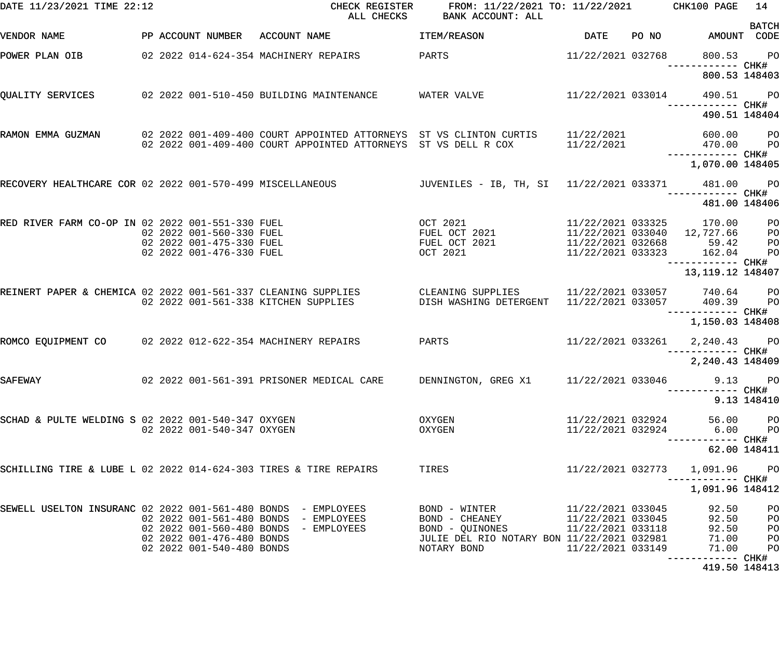| DATE 11/23/2021 TIME 22:12                                       |  |                                                        | CHECK REGISTER<br>ALL CHECKS                                                                                                             | FROM: 11/22/2021 TO: 11/22/2021 CHK100 PAGE<br>BANK ACCOUNT: ALL |                                        |                                    | 14                               |
|------------------------------------------------------------------|--|--------------------------------------------------------|------------------------------------------------------------------------------------------------------------------------------------------|------------------------------------------------------------------|----------------------------------------|------------------------------------|----------------------------------|
| VENDOR NAME                                                      |  |                                                        | PP ACCOUNT NUMBER ACCOUNT NAME                                                                                                           | ITEM/REASON                                                      | DATE                                   | PO NO AMOUNT CODE                  | <b>BATCH</b>                     |
| POWER PLAN OIB                                                   |  |                                                        | 02 2022 014-624-354 MACHINERY REPAIRS                                                                                                    | PARTS                                                            | 11/22/2021 032768                      | 800.53                             | PO <sub>1</sub>                  |
|                                                                  |  |                                                        |                                                                                                                                          |                                                                  |                                        | 800.53 148403                      |                                  |
| QUALITY SERVICES                                                 |  |                                                        | 02 2022 001-510-450 BUILDING MAINTENANCE                                                                                                 | WATER VALVE                                                      | 11/22/2021 033014                      | 490.51<br>------------ CHK#        | <b>PO</b>                        |
|                                                                  |  |                                                        |                                                                                                                                          |                                                                  |                                        | 490.51 148404                      |                                  |
| RAMON EMMA GUZMAN                                                |  |                                                        | 02  2022  001-409-400  COURT APPOINTED ATTORNEYS  ST VS CLINTON CURTIS<br>02 2022 001-409-400 COURT APPOINTED ATTORNEYS ST VS DELL R COX |                                                                  | 11/22/2021<br>11/22/2021               | 600.00 PO<br>470.00                | <b>PO</b>                        |
|                                                                  |  |                                                        |                                                                                                                                          |                                                                  |                                        | 1,070.00 148405                    |                                  |
| RECOVERY HEALTHCARE COR 02 2022 001-570-499 MISCELLANEOUS        |  |                                                        |                                                                                                                                          | JUVENILES – IB, TH, SI   11/22/2021 033371                       |                                        | 481.00                             | $P$ O                            |
|                                                                  |  |                                                        |                                                                                                                                          |                                                                  |                                        | ---------- CHK#<br>481.00 148406   |                                  |
| RED RIVER FARM CO-OP IN 02 2022 001-551-330 FUEL                 |  |                                                        |                                                                                                                                          | OCT 2021<br>FUEL OCT 2021                                        | 11/22/2021 033325                      | 170.00                             | P <sub>O</sub>                   |
|                                                                  |  | 02 2022 001-560-330 FUEL                               |                                                                                                                                          |                                                                  |                                        | 11/22/2021 033040 12,727.66        | P <sub>O</sub>                   |
|                                                                  |  | 02 2022 001-475-330 FUEL<br>02 2022 001-476-330 FUEL   |                                                                                                                                          | FUEL OCT 2021<br>OCT 2021                                        | 11/22/2021 032668<br>11/22/2021 033323 | 59.42<br>162.04                    | P <sub>O</sub><br>P <sub>O</sub> |
|                                                                  |  |                                                        |                                                                                                                                          |                                                                  |                                        | 13, 119. 12 148407                 |                                  |
| REINERT PAPER & CHEMICA 02 2022 001-561-337 CLEANING SUPPLIES    |  |                                                        | 02 2022 001-561-338 KITCHEN SUPPLIES                                                                                                     | CLEANING SUPPLIES<br>DISH WASHING DETERGENT                      | 11/22/2021 033057                      | 11/22/2021 033057 740.64<br>409.39 | <b>PO</b><br>P <sub>O</sub>      |
|                                                                  |  |                                                        |                                                                                                                                          |                                                                  |                                        | ------------ CHK#                  |                                  |
|                                                                  |  |                                                        |                                                                                                                                          |                                                                  |                                        | 1,150.03 148408                    |                                  |
| ROMCO EQUIPMENT CO 02 2022 012-622-354 MACHINERY REPAIRS         |  |                                                        |                                                                                                                                          | PARTS                                                            | 11/22/2021 033261                      | 2,240.43 PO<br>-------- CHK#       |                                  |
|                                                                  |  |                                                        |                                                                                                                                          |                                                                  |                                        | 2,240.43 148409                    |                                  |
| SAFEWAY                                                          |  |                                                        | 02  2022  001-561-391  PRISONER MEDICAL CARE                                                                                             | DENNINGTON, GREG X1 11/22/2021 033046                            |                                        | --------- CHK#                     | 9.13 PO                          |
|                                                                  |  |                                                        |                                                                                                                                          |                                                                  |                                        |                                    | 9.13 148410                      |
| SCHAD & PULTE WELDING S 02 2022 001-540-347 OXYGEN               |  | 02 2022 001-540-347 OXYGEN                             |                                                                                                                                          | OXYGEN                                                           | 11/22/2021 032924<br>11/22/2021 032924 | 56.00<br>6.00                      | P <sub>O</sub>                   |
|                                                                  |  |                                                        |                                                                                                                                          | OXYGEN                                                           |                                        |                                    | P <sub>O</sub>                   |
|                                                                  |  |                                                        |                                                                                                                                          |                                                                  |                                        |                                    | 62.00 148411                     |
| SCHILLING TIRE & LUBE L 02 2022 014-624-303 TIRES & TIRE REPAIRS |  |                                                        |                                                                                                                                          | TIRES                                                            | 11/22/2021 032773                      | 1,091.96<br>----------- CHK#       | <b>PO</b>                        |
|                                                                  |  |                                                        |                                                                                                                                          |                                                                  |                                        | 1,091.96 148412                    |                                  |
| SEWELL USELTON INSURANC 02 2022 001-561-480 BONDS - EMPLOYEES    |  |                                                        |                                                                                                                                          | BOND - WINTER                                                    | 11/22/2021 033045                      | 92.50                              | PO                               |
|                                                                  |  | 02 2022 001-561-480 BONDS                              | - EMPLOYEES                                                                                                                              | BOND - CHEANEY                                                   | 11/22/2021 033045                      | 92.50                              | PO                               |
|                                                                  |  | 02 2022 001-560-480 BONDS                              | - EMPLOYEES                                                                                                                              | BOND - QUINONES                                                  | 11/22/2021 033118                      | 92.50                              | PO                               |
|                                                                  |  | 02 2022 001-476-480 BONDS<br>02 2022 001-540-480 BONDS |                                                                                                                                          | JULIE DEL RIO NOTARY BON 11/22/2021 032981<br>NOTARY BOND        | 11/22/2021 033149                      | 71.00<br>71.00                     | PO<br>P <sub>O</sub>             |
|                                                                  |  |                                                        |                                                                                                                                          |                                                                  |                                        | 419.50 148413                      |                                  |
|                                                                  |  |                                                        |                                                                                                                                          |                                                                  |                                        |                                    |                                  |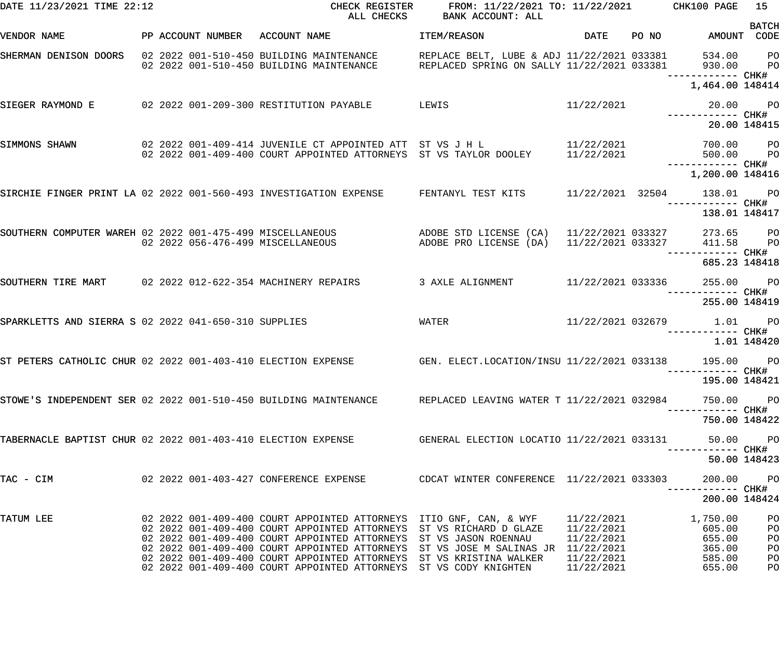| DATE 11/23/2021 TIME 22:12                                        |  | CHECK REGISTER<br>ALL CHECKS                                                                                                                                                                                                         | FROM: 11/22/2021 TO: 11/22/2021 CHK100 PAGE<br>BANK ACCOUNT: ALL                         |                                          |       |                           | 15                   |
|-------------------------------------------------------------------|--|--------------------------------------------------------------------------------------------------------------------------------------------------------------------------------------------------------------------------------------|------------------------------------------------------------------------------------------|------------------------------------------|-------|---------------------------|----------------------|
| VENDOR NAME                                                       |  | PP ACCOUNT NUMBER ACCOUNT NAME                                                                                                                                                                                                       | ITEM/REASON                                                                              | DATE                                     | PO NO | AMOUNT CODE               | <b>BATCH</b>         |
| SHERMAN DENISON DOORS 02 2022 001-510-450 BUILDING MAINTENANCE    |  | 02 2022 001-510-450 BUILDING MAINTENANCE                                                                                                                                                                                             | REPLACE BELT, LUBE & ADJ 11/22/2021 033381<br>REPLACED SPRING ON SALLY 11/22/2021 033381 |                                          |       | 534.00 PO<br>930.00       | <b>PO</b>            |
|                                                                   |  |                                                                                                                                                                                                                                      |                                                                                          |                                          |       | 1,464.00 148414           |                      |
| SIEGER RAYMOND E                                                  |  | 02 2022 001-209-300 RESTITUTION PAYABLE                                                                                                                                                                                              | LEWIS                                                                                    | 11/22/2021                               |       | 20.00 PO                  |                      |
|                                                                   |  |                                                                                                                                                                                                                                      |                                                                                          |                                          |       | 20.00 148415              |                      |
| SIMMONS SHAWN                                                     |  | 02 2022 001-409-414 JUVENILE CT APPOINTED ATT ST VS J H L<br>02 2022 001-409-400 COURT APPOINTED ATTORNEYS ST VS TAYLOR DOOLEY                                                                                                       |                                                                                          | 11/22/2021<br>11/22/2021                 |       | 700.00 PO<br>500.00       | <b>PO</b>            |
|                                                                   |  |                                                                                                                                                                                                                                      |                                                                                          |                                          |       | 1,200.00 148416           |                      |
| SIRCHIE FINGER PRINT LA 02 2022 001-560-493 INVESTIGATION EXPENSE |  |                                                                                                                                                                                                                                      | FENTANYL TEST KITS                                                                       | 11/22/2021 32504                         |       | 138.01 PO                 |                      |
|                                                                   |  |                                                                                                                                                                                                                                      |                                                                                          |                                          |       | 138.01 148417             |                      |
|                                                                   |  | SOUTHERN COMPUTER WAREH 02 2022 001-475-499 MISCELLANEOUS ADOBE STD LICENSE (CA)<br>02 2022 056-476-499 MISCELLANEOUS                                                                                                                | ADOBE PRO LICENSE (DA)                                                                   | 11/22/2021 033327<br>$11/22/2021$ 033327 |       | 273.65 PO<br>411.58       | <b>PO</b>            |
|                                                                   |  |                                                                                                                                                                                                                                      |                                                                                          |                                          |       | 685.23 148418             |                      |
| SOUTHERN TIRE MART 02 2022 012-622-354 MACHINERY REPAIRS          |  |                                                                                                                                                                                                                                      | 3 AXLE ALIGNMENT                                                                         | 11/22/2021 033336                        |       | 255.00 PO                 |                      |
|                                                                   |  |                                                                                                                                                                                                                                      |                                                                                          |                                          |       | 255.00 148419             |                      |
| SPARKLETTS AND SIERRA S 02 2022 041-650-310 SUPPLIES              |  |                                                                                                                                                                                                                                      | WATER                                                                                    |                                          |       | 11/22/2021 032679 1.01 PO |                      |
|                                                                   |  |                                                                                                                                                                                                                                      |                                                                                          |                                          |       |                           | 1.01 148420          |
| ST PETERS CATHOLIC CHUR 02 2022 001-403-410 ELECTION EXPENSE      |  |                                                                                                                                                                                                                                      | GEN. ELECT.LOCATION/INSU 11/22/2021 033138                                               |                                          |       | 195.00                    | <b>PO</b>            |
|                                                                   |  |                                                                                                                                                                                                                                      |                                                                                          |                                          |       | 195.00 148421             |                      |
|                                                                   |  | STOWE'S INDEPENDENT SER 02 2022 001-510-450 BUILDING MAINTENANCE REPLACED LEAVING WATER T 11/22/2021 032984                                                                                                                          |                                                                                          |                                          |       | 750.00                    | <b>PO</b>            |
|                                                                   |  |                                                                                                                                                                                                                                      |                                                                                          |                                          |       | 750.00 148422             |                      |
|                                                                   |  | TABERNACLE BAPTIST CHUR 02 2022 001-403-410 ELECTION EXPENSE GENERAL ELECTION LOCATIO 11/22/2021 033131                                                                                                                              |                                                                                          |                                          |       | 50.00<br>--------- CHK#   | <b>PO</b>            |
|                                                                   |  |                                                                                                                                                                                                                                      |                                                                                          |                                          |       | 50.00 148423              |                      |
| TAC - CIM                                                         |  |                                                                                                                                                                                                                                      |                                                                                          |                                          |       | 200.00                    | <b>PO</b>            |
|                                                                   |  |                                                                                                                                                                                                                                      |                                                                                          |                                          |       | 200.00 148424             |                      |
| TATUM LEE                                                         |  | 02 2022 001-409-400 COURT APPOINTED ATTORNEYS ITIO GNF, CAN, & WYF                                                                                                                                                                   |                                                                                          | 11/22/2021                               |       | 1,750.00<br>605.00        | PO<br>PO             |
|                                                                   |  | 02 2022 001-409-400 COURT APPOINTED ATTORNEYS ST VS RICHARD D GLAZE 11/22/2021<br>02 2022 001-409-400 COURT APPOINTED ATTORNEYS ST VS JASON ROENNAU 11/22/2021<br>02 2022 001-409-400 COURT APPOINTED ATTORNEYS ST VS JOSE M SALINAS |                                                                                          |                                          |       | 655.00<br>365.00          | PO                   |
|                                                                   |  |                                                                                                                                                                                                                                      |                                                                                          |                                          |       | 585.00                    | PO<br>P <sub>O</sub> |
|                                                                   |  | 02 2022 001-409-400 COURT APPOINTED ATTORNEYS ST VS CODY KNIGHTEN                                                                                                                                                                    |                                                                                          | 11/22/2021                               |       | 655.00                    | PO                   |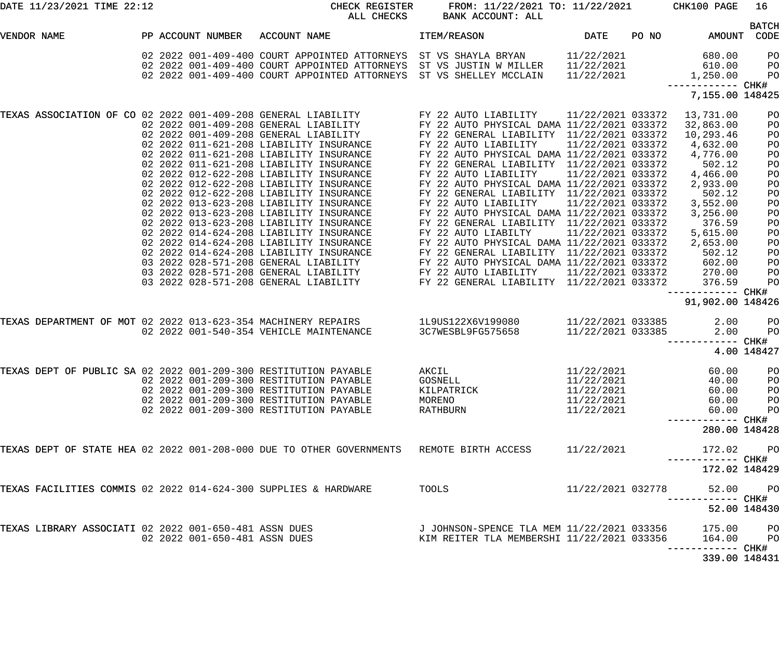| DATE 11/23/2021 TIME 22:12                                      |                               | CHECK REGISTER<br>ALL CHECKS                                                                                                                                                                                                                                                                                                                                                                                                                                                                                                                                                                                                                                                                                                                  | FROM: 11/22/2021 TO: 11/22/2021<br>BANK ACCOUNT: ALL                                                                                                                                                                                                                                                                                                                                                                                                                                                                                                                                                                                                                                                          |                                                                                                                            |       | CHK100 PAGE                                                                                                                                                                                                                 | 16                                                                                                       |
|-----------------------------------------------------------------|-------------------------------|-----------------------------------------------------------------------------------------------------------------------------------------------------------------------------------------------------------------------------------------------------------------------------------------------------------------------------------------------------------------------------------------------------------------------------------------------------------------------------------------------------------------------------------------------------------------------------------------------------------------------------------------------------------------------------------------------------------------------------------------------|---------------------------------------------------------------------------------------------------------------------------------------------------------------------------------------------------------------------------------------------------------------------------------------------------------------------------------------------------------------------------------------------------------------------------------------------------------------------------------------------------------------------------------------------------------------------------------------------------------------------------------------------------------------------------------------------------------------|----------------------------------------------------------------------------------------------------------------------------|-------|-----------------------------------------------------------------------------------------------------------------------------------------------------------------------------------------------------------------------------|----------------------------------------------------------------------------------------------------------|
| VENDOR NAME                                                     | PP ACCOUNT NUMBER             | ACCOUNT NAME                                                                                                                                                                                                                                                                                                                                                                                                                                                                                                                                                                                                                                                                                                                                  | ITEM/REASON                                                                                                                                                                                                                                                                                                                                                                                                                                                                                                                                                                                                                                                                                                   | DATE                                                                                                                       | PO NO | AMOUNT                                                                                                                                                                                                                      | <b>BATCH</b><br>CODE                                                                                     |
|                                                                 |                               | 02 2022 001-409-400 COURT APPOINTED ATTORNEYS<br>02 2022 001-409-400 COURT APPOINTED ATTORNEYS<br>02 2022 001-409-400 COURT APPOINTED ATTORNEYS ST VS SHELLEY MCCLAIN                                                                                                                                                                                                                                                                                                                                                                                                                                                                                                                                                                         | ST VS SHAYLA BRYAN<br>ST VS JUSTIN W MILLER                                                                                                                                                                                                                                                                                                                                                                                                                                                                                                                                                                                                                                                                   | 11/22/2021<br>11/22/2021<br>11/22/2021                                                                                     |       | 680.00<br>610.00<br>1,250.00<br>------------ CHK#<br>7,155.00 148425                                                                                                                                                        | PO<br>PO<br>PO                                                                                           |
| TEXAS ASSOCIATION OF CO 02 2022 001-409-208 GENERAL LIABILITY   |                               | 02 2022 001-409-208 GENERAL LIABILITY<br>02 2022 001-409-208 GENERAL LIABILITY<br>02 2022 011-621-208 LIABILITY INSURANCE<br>02 2022 011-621-208 LIABILITY INSURANCE<br>02 2022 011-621-208 LIABILITY INSURANCE<br>02 2022 012-622-208 LIABILITY INSURANCE<br>02 2022 012-622-208 LIABILITY INSURANCE<br>02 2022 012-622-208 LIABILITY INSURANCE<br>02 2022 013-623-208 LIABILITY INSURANCE<br>02 2022 013-623-208 LIABILITY INSURANCE<br>02 2022 013-623-208 LIABILITY INSURANCE<br>02 2022 014-624-208 LIABILITY INSURANCE<br>02 2022 014-624-208 LIABILITY INSURANCE<br>02 2022 014-624-208 LIABILITY INSURANCE<br>03 2022 028-571-208 GENERAL LIABILITY<br>03 2022 028-571-208 GENERAL LIABILITY<br>03 2022 028-571-208 GENERAL LIABILITY | FY 22 AUTO LIABILITY<br>FY 22 AUTO PHYSICAL DAMA 11/22/2021 033372<br>FY 22 GENERAL LIABILITY 11/22/2021 033372<br>FY 22 AUTO LIABILITY<br>FY 22 AUTO PHYSICAL DAMA 11/22/2021 033372<br>FY 22 GENERAL LIABILITY 11/22/2021 033372<br>FY 22 AUTO LIABILITY<br>FY 22 AUTO PHYSICAL DAMA 11/22/2021 033372<br>FY 22 GENERAL LIABILITY 11/22/2021 033372<br>FY 22 AUTO LIABILITY<br>FY 22 AUTO PHYSICAL DAMA 11/22/2021 033372<br>FY 22 GENERAL LIABILITY 11/22/2021 033372<br>FY 22 AUTO LIABILTY<br>FY 22 AUTO PHYSICAL DAMA 11/22/2021 033372<br>FY 22 GENERAL LIABILITY 11/22/2021 033372<br>FY 22 AUTO PHYSICAL DAMA 11/22/2021 033372<br>FY 22 AUTO LIABILITY<br>FY 22 GENERAL LIABILITY 11/22/2021 033372 | 11/22/2021 033372<br>11/22/2021 033372<br>11/22/2021 033372<br>11/22/2021 033372<br>11/22/2021 033372<br>11/22/2021 033372 |       | 13,731.00<br>32,863.00<br>10,293.46<br>4,632.00<br>4,776.00<br>502.12<br>4,466.00<br>2,933.00<br>502.12<br>3,552.00<br>3,256.00<br>376.59<br>5,615.00<br>2,653.00<br>502.12<br>602.00<br>270.00<br>376.59<br>--------- CHK# | PO<br>PO<br>PO<br>PO<br>PO<br>PO<br>PO<br>PO<br>PO<br>PO<br>PO<br>PO<br>PO<br>PO<br>PO<br>PO<br>PO<br>PO |
| TEXAS DEPARTMENT OF MOT 02 2022 013-623-354 MACHINERY REPAIRS   |                               | 02 2022 001-540-354 VEHICLE MAINTENANCE                                                                                                                                                                                                                                                                                                                                                                                                                                                                                                                                                                                                                                                                                                       | 1L9US122X6V199080<br>3C7WESBL9FG575658                                                                                                                                                                                                                                                                                                                                                                                                                                                                                                                                                                                                                                                                        | 11/22/2021 033385<br>11/22/2021 033385                                                                                     |       | 91,902.00 148426<br>2.00<br>2.00<br>-------                                                                                                                                                                                 | PO<br>PO<br>CHK#                                                                                         |
| TEXAS DEPT OF PUBLIC SA 02 2022 001-209-300 RESTITUTION PAYABLE |                               | 02 2022 001-209-300 RESTITUTION PAYABLE<br>02 2022 001-209-300 RESTITUTION PAYABLE<br>02 2022 001-209-300 RESTITUTION PAYABLE<br>02 2022 001-209-300 RESTITUTION PAYABLE                                                                                                                                                                                                                                                                                                                                                                                                                                                                                                                                                                      | AKCIL<br>GOSNELL<br>KILPATRICK<br>MORENO<br>RATHBURN                                                                                                                                                                                                                                                                                                                                                                                                                                                                                                                                                                                                                                                          | 11/22/2021<br>11/22/2021<br>11/22/2021<br>11/22/2021<br>11/22/2021                                                         |       | 60.00<br>40.00<br>60.00<br>60.00<br>60.00<br>280.00 148428                                                                                                                                                                  | 4.00 148427<br>PO<br>PO<br>PO<br>PO<br>PO                                                                |
|                                                                 |                               | TEXAS DEPT OF STATE HEA 02 2022 001-208-000 DUE TO OTHER GOVERNMENTS                                                                                                                                                                                                                                                                                                                                                                                                                                                                                                                                                                                                                                                                          | REMOTE BIRTH ACCESS                                                                                                                                                                                                                                                                                                                                                                                                                                                                                                                                                                                                                                                                                           | 11/22/2021                                                                                                                 |       | 172.02<br>172.02 148429                                                                                                                                                                                                     | PO                                                                                                       |
| TEXAS FACILITIES COMMIS 02 2022 014-624-300 SUPPLIES & HARDWARE |                               |                                                                                                                                                                                                                                                                                                                                                                                                                                                                                                                                                                                                                                                                                                                                               | TOOLS                                                                                                                                                                                                                                                                                                                                                                                                                                                                                                                                                                                                                                                                                                         | 11/22/2021 032778                                                                                                          |       | 52.00<br>-------                                                                                                                                                                                                            | P <sub>O</sub><br>CHK#<br>52.00 148430                                                                   |
| TEXAS LIBRARY ASSOCIATI 02 2022 001-650-481 ASSN DUES           | 02 2022 001-650-481 ASSN DUES |                                                                                                                                                                                                                                                                                                                                                                                                                                                                                                                                                                                                                                                                                                                                               | J JOHNSON-SPENCE TLA MEM 11/22/2021 033356<br>KIM REITER TLA MEMBERSHI 11/22/2021 033356                                                                                                                                                                                                                                                                                                                                                                                                                                                                                                                                                                                                                      |                                                                                                                            |       | 175.00<br>164.00<br>------ CHK#                                                                                                                                                                                             | PO<br>PO                                                                                                 |
|                                                                 |                               |                                                                                                                                                                                                                                                                                                                                                                                                                                                                                                                                                                                                                                                                                                                                               |                                                                                                                                                                                                                                                                                                                                                                                                                                                                                                                                                                                                                                                                                                               |                                                                                                                            |       | 339.00 148431                                                                                                                                                                                                               |                                                                                                          |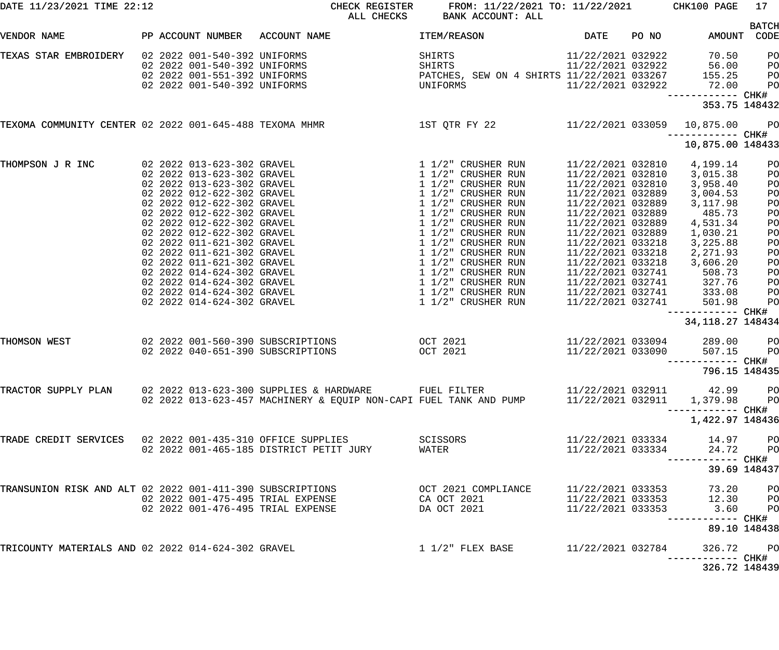| DATE 11/23/2021 TIME 22:12                                |  |                            |                                   | CHECK REGISTER                    | FROM: 11/22/2021 TO: 11/22/2021 CHK100 PAGE<br>ALL CHECKS BANK ACCOUNT: ALL                                         |                   |       |                            | 17                   |
|-----------------------------------------------------------|--|----------------------------|-----------------------------------|-----------------------------------|---------------------------------------------------------------------------------------------------------------------|-------------------|-------|----------------------------|----------------------|
| VENDOR NAME                                               |  |                            | PP ACCOUNT NUMBER ACCOUNT NAME    |                                   | <b>ITEM/REASON</b>                                                                                                  | DATE              | PO NO | AMOUNT                     | <b>BATCH</b><br>CODE |
| TEXAS STAR EMBROIDERY                                     |  |                            | 02 2022 001-540-392 UNIFORMS      |                                   | SHIRTS                                                                                                              | 11/22/2021 032922 |       | 70.50                      | P <sub>O</sub>       |
|                                                           |  |                            | 02 2022 001-540-392 UNIFORMS      |                                   | SHIRTS                                                                                                              | 11/22/2021 032922 |       | 56.00                      | PO                   |
|                                                           |  |                            | 02 2022 001-551-392 UNIFORMS      |                                   | PATCHES, SEW ON 4 SHIRTS 11/22/2021 033267                                                                          |                   |       | 155.25                     | PO                   |
|                                                           |  |                            | 02 2022 001-540-392 UNIFORMS      |                                   | UNIFORMS                                                                                                            | 11/22/2021 032922 |       | 72.00                      | PO                   |
|                                                           |  |                            |                                   |                                   |                                                                                                                     |                   |       |                            |                      |
|                                                           |  |                            |                                   |                                   |                                                                                                                     |                   |       | 353.75 148432              |                      |
| TEXOMA COMMUNITY CENTER 02 2022 001-645-488 TEXOMA MHMR   |  |                            |                                   |                                   | 1ST QTR FY 22 11/22/2021 033059 10,875.00                                                                           |                   |       |                            | P <sub>O</sub>       |
|                                                           |  |                            |                                   |                                   |                                                                                                                     |                   |       | 10,875.00 148433           |                      |
| THOMPSON J R INC                                          |  | 02 2022 013-623-302 GRAVEL |                                   |                                   | 1 1/2" CRUSHER RUN                                                                                                  | 11/22/2021 032810 |       | 4,199.14                   | PO                   |
|                                                           |  | 02 2022 013-623-302 GRAVEL |                                   |                                   | 1 1/2" CRUSHER RUN                                                                                                  | 11/22/2021 032810 |       | 3,015.38                   | P <sub>O</sub>       |
|                                                           |  | 02 2022 013-623-302 GRAVEL |                                   |                                   | 1 1/2" CRUSHER RUN                                                                                                  | 11/22/2021 032810 |       | 3,958.40                   | PO                   |
|                                                           |  | 02 2022 012-622-302 GRAVEL |                                   |                                   | 1 1/2" CRUSHER RUN                                                                                                  | 11/22/2021 032889 |       | 3,004.53                   | PO                   |
|                                                           |  | 02 2022 012-622-302 GRAVEL |                                   |                                   | 1 1/2" CRUSHER RUN                                                                                                  | 11/22/2021 032889 |       |                            |                      |
|                                                           |  |                            |                                   |                                   |                                                                                                                     |                   |       | 3,117.98                   | PO                   |
|                                                           |  | 02 2022 012-622-302 GRAVEL |                                   |                                   | 1 1/2" CRUSHER RUN                                                                                                  | 11/22/2021 032889 |       | 485.73                     | P <sub>O</sub>       |
|                                                           |  | 02 2022 012-622-302 GRAVEL |                                   |                                   | 1 1/2" CRUSHER RUN                                                                                                  | 11/22/2021 032889 |       | 4,531.34                   | P <sub>O</sub>       |
|                                                           |  | 02 2022 012-622-302 GRAVEL |                                   |                                   | 1 1/2" CRUSHER RUN                                                                                                  | 11/22/2021 032889 |       | 1,030.21                   | PO                   |
|                                                           |  | 02 2022 011-621-302 GRAVEL |                                   |                                   | 1 1/2" CRUSHER RUN                                                                                                  | 11/22/2021 033218 |       | 3,225.88                   | PO                   |
|                                                           |  | 02 2022 011-621-302 GRAVEL |                                   |                                   | 1 1/2" CRUSHER RUN                                                                                                  | 11/22/2021 033218 |       | 2,271.93                   | PO                   |
|                                                           |  | 02 2022 011-621-302 GRAVEL |                                   |                                   | 1 1/2" CRUSHER RUN                                                                                                  | 11/22/2021 033218 |       | 3,606.20                   | PO                   |
|                                                           |  | 02 2022 014-624-302 GRAVEL |                                   |                                   | 1 1/2" CRUSHER RUN                                                                                                  | 11/22/2021 032741 |       | 508.73                     | P <sub>O</sub>       |
|                                                           |  | 02 2022 014-624-302 GRAVEL |                                   |                                   | 1 1/2" CRUSHER RUN                                                                                                  | 11/22/2021 032741 |       | 327.76                     | P <sub>O</sub>       |
|                                                           |  | 02 2022 014-624-302 GRAVEL |                                   |                                   | 1 1/2" CRUSHER RUN                                                                                                  | 11/22/2021 032741 |       | 333.08                     | PO                   |
|                                                           |  | 02 2022 014-624-302 GRAVEL |                                   |                                   | 1 1/2" CRUSHER RUN                                                                                                  | 11/22/2021 032741 |       | 501.98                     | PO                   |
|                                                           |  |                            |                                   |                                   |                                                                                                                     |                   |       |                            |                      |
|                                                           |  |                            |                                   |                                   |                                                                                                                     |                   |       | 34, 118. 27 148434         |                      |
| THOMSON WEST                                              |  |                            | 02 2022 001-560-390 SUBSCRIPTIONS | <b>OCT 2021</b>                   |                                                                                                                     | 11/22/2021 033094 |       | 289.00                     | P <sub>O</sub>       |
|                                                           |  |                            | 02 2022 040-651-390 SUBSCRIPTIONS |                                   | OCT 2021                                                                                                            | 11/22/2021 033090 |       | 507.15                     | PO                   |
|                                                           |  |                            |                                   |                                   |                                                                                                                     |                   |       | -----------         CHK#   |                      |
|                                                           |  |                            |                                   |                                   |                                                                                                                     |                   |       | 796.15 148435              |                      |
|                                                           |  |                            |                                   |                                   |                                                                                                                     |                   |       |                            |                      |
|                                                           |  |                            |                                   |                                   | TRACTOR SUPPLY PLAN 02 2022 013-623-300 SUPPLIES & HARDWARE FUEL FILTER 11/22/2021 032911 42.99 PO                  |                   |       |                            |                      |
|                                                           |  |                            |                                   |                                   | 02 2022 013-623-457 MACHINERY & EQUIP NON-CAPI FUEL TANK AND PUMP $11/22/2021$ 032911 1,379.98 PO                   |                   |       |                            |                      |
|                                                           |  |                            |                                   |                                   |                                                                                                                     |                   |       |                            |                      |
|                                                           |  |                            |                                   |                                   |                                                                                                                     |                   |       | 1,422.97 148436            |                      |
| TRADE CREDIT SERVICES 02 2022 001-435-310 OFFICE SUPPLIES |  |                            |                                   |                                   | <b>SCISSORS</b>                                                                                                     |                   |       | 11/22/2021 033334 14.97 PO |                      |
|                                                           |  |                            |                                   |                                   | WATER                                                                                                               | 11/22/2021 033334 |       | 24.72 PO                   |                      |
|                                                           |  |                            |                                   |                                   |                                                                                                                     |                   |       |                            |                      |
|                                                           |  |                            |                                   |                                   |                                                                                                                     |                   |       |                            | 39.69 148437         |
|                                                           |  |                            |                                   |                                   |                                                                                                                     |                   |       |                            |                      |
|                                                           |  |                            |                                   |                                   | TRANSUNION RISK AND ALT 02 2022 001-411-390 SUBSCRIPTIONS                 OCT 2021 COMPLIANCE     11/22/2021 033353 |                   |       | 73.20 PO                   |                      |
|                                                           |  |                            |                                   | 02 2022 001-475-495 TRIAL EXPENSE | CA OCT 2021                                                                                                         |                   |       | 11/22/2021 033353 12.30 PO |                      |
|                                                           |  |                            |                                   | 02 2022 001-476-495 TRIAL EXPENSE | DA OCT 2021                                                                                                         |                   |       | 11/22/2021 033353 3.60 PO  |                      |
|                                                           |  |                            |                                   |                                   |                                                                                                                     |                   |       |                            |                      |
|                                                           |  |                            |                                   |                                   |                                                                                                                     |                   |       | 89.10 148438               |                      |
|                                                           |  |                            |                                   |                                   |                                                                                                                     |                   |       |                            |                      |
| TRICOUNTY MATERIALS AND 02 2022 014-624-302 GRAVEL        |  |                            |                                   |                                   | 1 1/2" FLEX BASE 11/22/2021 032784                                                                                  |                   |       | 326.72 PO                  |                      |
|                                                           |  |                            |                                   |                                   |                                                                                                                     |                   |       |                            |                      |
|                                                           |  |                            |                                   |                                   |                                                                                                                     |                   |       | 326.72 148439              |                      |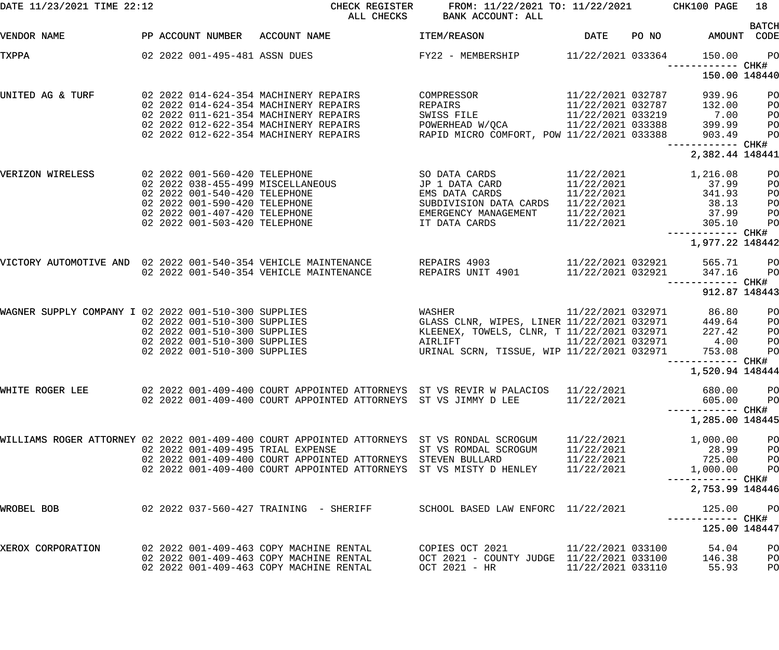| DATE 11/23/2021 TIME 22:12                                                                    |  |  |                                                                                                                                                                                                           | CHECK REGISTER<br>ALL CHECKS                                    |                    | FROM: 11/22/2021 TO: 11/22/2021 CHK100 PAGE<br>BANK ACCOUNT: ALL                                                                        |                                                                                  |       |                                                                                                 | 18                                                 |
|-----------------------------------------------------------------------------------------------|--|--|-----------------------------------------------------------------------------------------------------------------------------------------------------------------------------------------------------------|-----------------------------------------------------------------|--------------------|-----------------------------------------------------------------------------------------------------------------------------------------|----------------------------------------------------------------------------------|-------|-------------------------------------------------------------------------------------------------|----------------------------------------------------|
| PP ACCOUNT NUMBER ACCOUNT NAME<br>VENDOR NAME                                                 |  |  |                                                                                                                                                                                                           |                                                                 | <b>ITEM/REASON</b> |                                                                                                                                         | DATE                                                                             | PO NO |                                                                                                 | <b>BATCH</b><br>AMOUNT CODE                        |
| TXPPA                                                                                         |  |  | 02 2022 001-495-481 ASSN DUES                                                                                                                                                                             |                                                                 |                    | FY22 - MEMBERSHIP 11/22/2021 033364                                                                                                     |                                                                                  |       | 150.00<br>------------ CHK#                                                                     | <b>PO</b>                                          |
|                                                                                               |  |  |                                                                                                                                                                                                           |                                                                 |                    |                                                                                                                                         |                                                                                  |       | 150.00 148440                                                                                   |                                                    |
| UNITED AG & TURF                                                                              |  |  | 02 2022 014-624-354 MACHINERY REPAIRS<br>02 2022 014-624-354 MACHINERY REPAIRS<br>02 2022 011-621-354 MACHINERY REPAIRS<br>02 2022 012-622-354 MACHINERY REPAIRS<br>02 2022 012-622-354 MACHINERY REPAIRS |                                                                 | REPAIRS            | COMPRESSOR<br>SWISS FILE 11/22/2021 033219<br>POWERHEAD W/QCA 11/22/2021 033388<br>RAPID MICRO COMFORT, POW 11/22/2021 033388           | 11/22/2021 032787<br>11/22/2021 032787                                           |       | 939.96<br>132.00<br>7.00<br>$399.99$<br>$399.99$<br>$-$ ----                                    | P <sub>O</sub><br>P <sub>O</sub><br>PO<br>PO<br>PO |
|                                                                                               |  |  |                                                                                                                                                                                                           |                                                                 |                    |                                                                                                                                         |                                                                                  |       | ------------ CHK#<br>2,382.44 148441                                                            |                                                    |
| VERIZON WIRELESS                                                                              |  |  | 02 2022 001-560-420 TELEPHONE<br>02 2022 001-540-420 TELEPHONE<br>02 2022 001-590-420 TELEPHONE<br>02 2022 001-407-420 TELEPHONE<br>02 2022 001-503-420 TELEPHONE                                         |                                                                 |                    | EMS DATA CARDS<br>SUBDIVISION DATA CARDS<br>EMERGENCY MANAGEMENT<br>IT DATA CARDS                                                       | 11/22/2021<br>11/22/2021<br>11/22/2021<br>11/22/2021<br>11/22/2021<br>11/22/2021 |       | 1,216.08<br>37.99<br>341.93<br>38.13<br>37.99<br>305.10<br>------------ CHK#<br>1,977.22 148442 | P <sub>O</sub><br>PO<br>PO<br>PO<br>PO<br>PO       |
| VICTORY AUTOMOTIVE AND 02 2022 001-540-354 VEHICLE MAINTENANCE REPAIRS 4903 11/22/2021 032921 |  |  | 02 2022 001-540-354 VEHICLE MAINTENANCE                                                                                                                                                                   |                                                                 |                    | REPAIRS UNIT 4901                                                                                                                       | 11/22/2021 032921                                                                |       | 565.71<br>347.16<br>------------ CHK#                                                           | PO<br>PO                                           |
|                                                                                               |  |  |                                                                                                                                                                                                           |                                                                 |                    |                                                                                                                                         |                                                                                  |       | 912.87 148443                                                                                   |                                                    |
| WAGNER SUPPLY COMPANY I 02 2022 001-510-300 SUPPLIES                                          |  |  | 02 2022 001-510-300 SUPPLIES<br>02 2022 001-510-300 SUPPLIES<br>02 2022 001-510-300 SUPPLIES<br>02 2022 001-510-300 SUPPLIES                                                                              |                                                                 | AIRLIFT            | WASHER<br>GLASS CLNR, WIPES, LINER 11/22/2021 032971<br>TANGLET CLNR, T 11/22/2021 032971<br>URINAL SCRN, TISSUE, WIP 11/22/2021 032971 | 11/22/2021 032971                                                                |       | 86.80<br>449.64<br>227.42<br>$4.00$<br>$753.08$                                                 | P <sub>O</sub><br>PO<br>PO<br>PO<br>PO             |
|                                                                                               |  |  |                                                                                                                                                                                                           |                                                                 |                    |                                                                                                                                         |                                                                                  |       | 1,520.94 148444                                                                                 |                                                    |
| WHITE ROGER LEE                                                                               |  |  |                                                                                                                                                                                                           | 02 2022 001-409-400 COURT APPOINTED ATTORNEYS ST VS JIMMY D LEE |                    | 02  2022  001-409-400  COURT APPOINTED ATTORNEYS  ST VS REVIR W PALACIOS  11/22/2021                                                    | 11/22/2021                                                                       |       | 680.00<br>605.00<br>------------ CHK#                                                           | PO<br>PO                                           |
|                                                                                               |  |  |                                                                                                                                                                                                           |                                                                 |                    |                                                                                                                                         |                                                                                  |       | 1,285.00 148445                                                                                 |                                                    |
| WILLIAMS ROGER ATTORNEY 02 2022 001-409-400 COURT APPOINTED ATTORNEYS ST VS RONDAL SCROGUM    |  |  | 02 2022 001-409-495 TRIAL EXPENSE                                                                                                                                                                         | 02 2022 001-409-400 COURT APPOINTED ATTORNEYS STEVEN BULLARD    |                    | ST VS ROMDAL SCROGUM<br>02 2022 001-409-400 COURT APPOINTED ATTORNEYS ST VS MISTY D HENLEY                                              | 11/22/2021<br>11/22/2021<br>11/22/2021<br>11/22/2021                             |       | 1,000.00<br>28.99<br>725.00<br>1,000.00<br>----------- CHK#                                     | PO<br>P <sub>O</sub><br>PO<br>PO                   |
|                                                                                               |  |  |                                                                                                                                                                                                           |                                                                 |                    |                                                                                                                                         |                                                                                  |       | 2,753.99 148446                                                                                 |                                                    |
| WROBEL BOB                                                                                    |  |  | 02  2022  037-560-427  TRAINING - SHERIFF                                                                                                                                                                 |                                                                 |                    | SCHOOL BASED LAW ENFORC 11/22/2021                                                                                                      |                                                                                  |       | 125.00<br>125.00 148447                                                                         | PO                                                 |
| XEROX CORPORATION                                                                             |  |  | 02 2022 001-409-463 COPY MACHINE RENTAL<br>02 2022 001-409-463 COPY MACHINE RENTAL<br>02 2022 001-409-463 COPY MACHINE RENTAL                                                                             |                                                                 |                    | COPIES OCT 2021<br>OCT 2021 - COUNTY JUDGE 11/22/2021 033100<br>OCT 2021 - HR                                                           | 11/22/2021 033100<br>11/22/2021 033110                                           |       | 54.04<br>146.38<br>55.93                                                                        | PO<br>PO<br>PO                                     |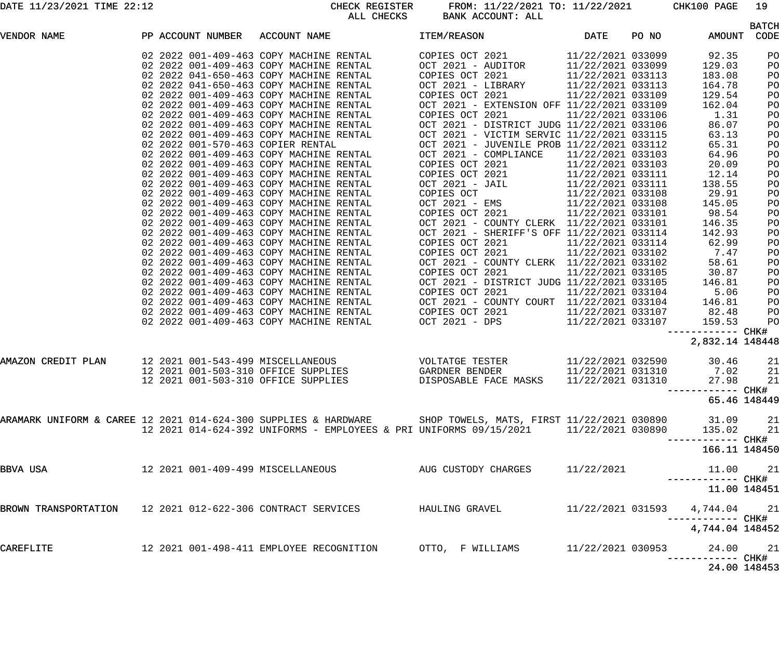DATE 11/23/2021 TIME 22:12 CHECK REGISTER FROM: 11/22/2021 TO: 11/22/2021 CHK100 PAGE 19 ALL CHECKS BANK ACCOUNT: ALL

| VENDOR NAME        |  | PP ACCOUNT NUMBER | ACCOUNT NAME                                                                                                                                                                                                                      | ITEM/REASON                                                   | <b>DATE</b>                   | PO NO | AMOUNT                        | <b>BATCH</b><br>CODE |
|--------------------|--|-------------------|-----------------------------------------------------------------------------------------------------------------------------------------------------------------------------------------------------------------------------------|---------------------------------------------------------------|-------------------------------|-------|-------------------------------|----------------------|
|                    |  |                   |                                                                                                                                                                                                                                   |                                                               |                               |       |                               |                      |
|                    |  |                   | 02 2022 001-409-463 COPY MACHINE RENTAL                                                                                                                                                                                           | COPIES OCT 2021                                               | 11/22/2021 033099             |       | 92.35                         | PO                   |
|                    |  |                   | 02 2022 001-409-463 COPY MACHINE RENTAL                                                                                                                                                                                           | OCT 2021 - AUDITOR                                            | 11/22/2021 033099             |       | 129.03                        | PO                   |
|                    |  |                   | 02 2022 041-650-463 COPY MACHINE RENTAL                                                                                                                                                                                           | COPIES OCT 2021                                               | 11/22/2021 033113             |       | 183.08                        | PO                   |
|                    |  |                   | 02 2022 041-650-463 COPY MACHINE RENTAL                                                                                                                                                                                           | OCT 2021 - LIBRARY                                            | 11/22/2021 033113             |       | 164.78                        | PO                   |
|                    |  |                   | 02 2022 001-409-463 COPY MACHINE RENTAL<br>02 2022 001-409-463 COPY MACHINE RENTAL                                                                                                                                                | COPIES OCT 2021<br>OCT 2021 - EXTENSION OFF 11/22/2021 033109 | 11/22/2021 033109             |       | 129.54<br>162.04              | PO                   |
|                    |  |                   | 02 2022 001-409-463 COPY MACHINE RENTAL                                                                                                                                                                                           | COPIES OCT 2021                                               | 11/22/2021 033106             |       | 1.31                          | PO<br>PO             |
|                    |  |                   | 02 2022 001-409-463 COPY MACHINE RENTAL                                                                                                                                                                                           | OCT 2021 - DISTRICT JUDG 11/22/2021 033106                    |                               |       | 86.07                         | PO                   |
|                    |  |                   | 02 2022 001-409-463 COPY MACHINE RENTAL                                                                                                                                                                                           | OCT 2021 - VICTIM SERVIC 11/22/2021 033115                    |                               |       | 63.13                         | PO                   |
|                    |  |                   | 02 2022 001-570-463 COPIER RENTAL                                                                                                                                                                                                 | OCT 2021 - JUVENILE PROB 11/22/2021 033112                    |                               |       | 65.31                         | PO                   |
|                    |  |                   | 02 2022 001-409-463 COPY MACHINE RENTAL                                                                                                                                                                                           | OCT 2021 - COMPLIANCE                                         | 11/22/2021 033103             |       | 64.96                         | PO                   |
|                    |  |                   | 02 2022 001-409-463 COPY MACHINE RENTAL                                                                                                                                                                                           | COPIES OCT 2021                                               | 11/22/2021 033103             |       | 20.09                         | PO                   |
|                    |  |                   | 02 2022 001-409-463 COPY MACHINE RENTAL                                                                                                                                                                                           |                                                               | 11/22/2021 033111             |       | 12.14                         | PO                   |
|                    |  |                   | 02 2022 001-409-463 COPY MACHINE RENTAL                                                                                                                                                                                           | COPIES OCT 2021<br>OCT 2021 - JAIL                            | 11/22/2021 033111             |       | 138.55                        | PO                   |
|                    |  |                   | 02 2022 001-409-463 COPY MACHINE RENTAL                                                                                                                                                                                           | COPIES OCT                                                    | 11/22/2021 033108             |       | 29.91                         | PO                   |
|                    |  |                   | 02 2022 001-409-463 COPY MACHINE RENTAL                                                                                                                                                                                           | OCT 2021 - EMS                                                | 11/22/2021 033108             |       | 145.05                        | PO                   |
|                    |  |                   | 02 2022 001-409-463 COPY MACHINE RENTAL                                                                                                                                                                                           | COPIES OCT 2021                                               | 11/22/2021 033101             |       | 98.54                         | PO                   |
|                    |  |                   | 02 2022 001-409-463 COPY MACHINE RENTAL                                                                                                                                                                                           | OCT 2021 - COUNTY CLERK 11/22/2021 033101                     |                               |       | 146.35                        | PO                   |
|                    |  |                   | 02 2022 001-409-463 COPY MACHINE RENTAL                                                                                                                                                                                           | OCT 2021 - SHERIFF'S OFF 11/22/2021 033114                    |                               |       | 142.93                        | PO                   |
|                    |  |                   | 02 2022 001-409-463 COPY MACHINE RENTAL                                                                                                                                                                                           | COPIES OCT 2021                                               | 11/22/2021 033114             |       | 62.99                         | PO                   |
|                    |  |                   | 02 2022 001-409-463 COPY MACHINE RENTAL                                                                                                                                                                                           | COPIES OCT 2021                                               | 11/22/2021 033102             |       | 7.47                          | PO                   |
|                    |  |                   | 02 2022 001-409-463 COPY MACHINE RENTAL                                                                                                                                                                                           | OCT 2021 - COUNTY CLERK 11/22/2021 033102                     |                               |       | 58.61                         | PO                   |
|                    |  |                   | 02 2022 001-409-463 COPY MACHINE RENTAL                                                                                                                                                                                           | COPIES OCT 2021                                               | 11/22/2021 033105             |       | 30.87                         | PO                   |
|                    |  |                   | 02 2022 001-409-463 COPY MACHINE RENTAL                                                                                                                                                                                           | OCT 2021 - DISTRICT JUDG 11/22/2021 033105                    |                               |       | 146.81                        | PO                   |
|                    |  |                   | 02 2022 001-409-463 COPY MACHINE RENTAL                                                                                                                                                                                           | COPIES OCT 2021                                               | 11/22/2021 033104             |       | 5.06                          | PO                   |
|                    |  |                   | 02 2022 001-409-463 COPY MACHINE RENTAL                                                                                                                                                                                           | OCT 2021 - COUNTY COURT 11/22/2021 033104                     |                               |       | 146.81                        | PO                   |
|                    |  |                   | 02 2022 001-409-463 COPY MACHINE RENTAL                                                                                                                                                                                           | COPIES OCT 2021                                               | 11/22/2021 033107             |       | 82.48                         | PO                   |
|                    |  |                   | 02 2022 001-409-463 COPY MACHINE RENTAL                                                                                                                                                                                           | OCT 2021 - DPS                                                | 11/22/2021 033107             |       | 159.53                        | PO                   |
|                    |  |                   |                                                                                                                                                                                                                                   |                                                               |                               |       |                               |                      |
|                    |  |                   |                                                                                                                                                                                                                                   |                                                               |                               |       | 2,832.14 148448               |                      |
| AMAZON CREDIT PLAN |  |                   | 12 2021 001-543-499 MISCELLANEOUS                                                                                                                                                                                                 | VOLTATGE TESTER                                               | 11/22/2021 032590             |       | 30.46                         | 21                   |
|                    |  |                   | 12 2021 001-503-310 OFFICE SUPPLIES                                                                                                                                                                                               | GARDNER BENDER                                                | 11/22/2021 031310             |       | 7.02                          | 21                   |
|                    |  |                   | 12 2021 001-503-310 OFFICE SUPPLIES                                                                                                                                                                                               | DISPOSABLE FACE MASKS                                         | 11/22/2021 031310             |       | 27.98                         | 21                   |
|                    |  |                   |                                                                                                                                                                                                                                   |                                                               |                               |       |                               |                      |
|                    |  |                   |                                                                                                                                                                                                                                   |                                                               |                               |       | 65.46 148449                  |                      |
|                    |  |                   |                                                                                                                                                                                                                                   |                                                               |                               |       |                               |                      |
|                    |  |                   | 11/22/2021 030890 31.09 21 11/22/2021 021 12 2021 014-624-300 SUPPLIES & HARDWARE SHOP TOWELS, MATS, FIRST 11/22/2021 030890 31.09 21<br>12 2021 014-624-392 UNIFORMS - EMPLOYEES & PRI UNIFORMS 09/15/2021 11/22/2021 030890 135 |                                                               |                               |       |                               |                      |
|                    |  |                   |                                                                                                                                                                                                                                   |                                                               |                               |       | ------------ CHK#             |                      |
|                    |  |                   |                                                                                                                                                                                                                                   |                                                               |                               |       | 166.11 148450                 |                      |
| BBVA USA           |  |                   | 12 2021 001-409-499 MISCELLANEOUS AUG CUSTODY CHARGES 11/22/2021                                                                                                                                                                  |                                                               |                               |       | 11.00 21<br>------------ CHK# |                      |
|                    |  |                   |                                                                                                                                                                                                                                   |                                                               |                               |       | 11.00 148451                  |                      |
|                    |  |                   | BROWN TRANSPORTATION 12 2021 012-622-306 CONTRACT SERVICES HAULING GRAVEL                                                                                                                                                         |                                                               | 11/22/2021 031593 4,744.04 21 |       |                               |                      |
|                    |  |                   |                                                                                                                                                                                                                                   |                                                               |                               |       | 4,744.04 148452               |                      |
| CAREFLITE          |  |                   |                                                                                                                                                                                                                                   |                                                               |                               |       | 24.00 21                      |                      |
|                    |  |                   |                                                                                                                                                                                                                                   |                                                               |                               |       | $24.00.100152$                |                      |

24.00 148453